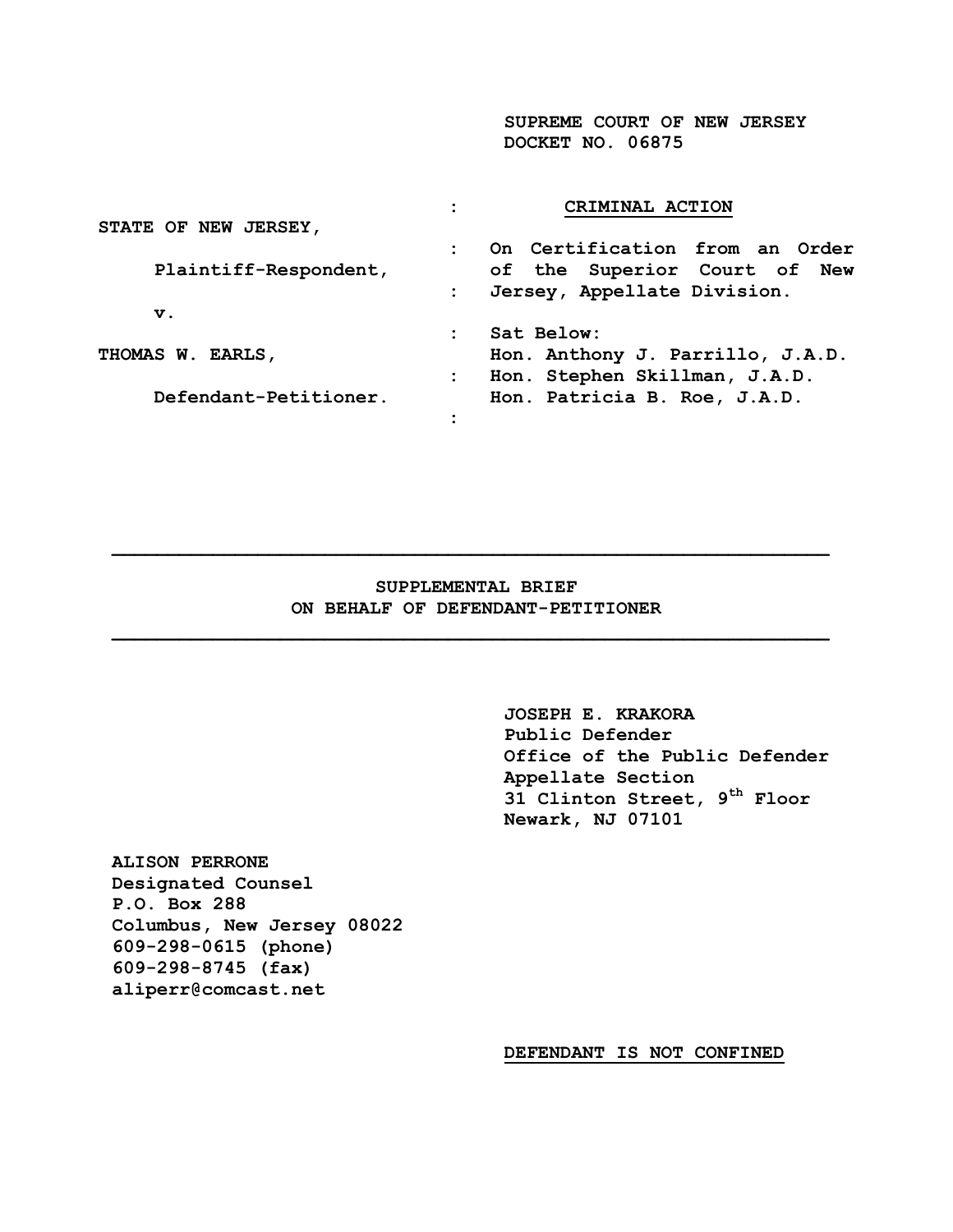**SUPREME COURT OF NEW JERSEY DOCKET NO. 06875**

|                       | CRIMINAL ACTION                                |  |  |  |  |  |
|-----------------------|------------------------------------------------|--|--|--|--|--|
| STATE OF NEW JERSEY,  |                                                |  |  |  |  |  |
|                       | On Certification from an Order<br>$\mathbf{r}$ |  |  |  |  |  |
| Plaintiff-Respondent, | of the Superior Court of New                   |  |  |  |  |  |
|                       | Jersey, Appellate Division.<br>$\mathbf{L}$    |  |  |  |  |  |
| v.                    |                                                |  |  |  |  |  |
|                       | Sat Below:                                     |  |  |  |  |  |
| THOMAS W. EARLS,      | Hon. Anthony J. Parrillo, J.A.D.               |  |  |  |  |  |
|                       | Hon. Stephen Skillman, J.A.D.<br>$\mathbf{L}$  |  |  |  |  |  |
| Defendant-Petitioner. | Hon. Patricia B. Roe, J.A.D.                   |  |  |  |  |  |
| $\bullet$             |                                                |  |  |  |  |  |

### **SUPPLEMENTAL BRIEF ON BEHALF OF DEFENDANT-PETITIONER**

 $\mathcal{L} = \{ \mathcal{L} \mid \mathcal{L} \in \mathcal{L} \}$ 

**JOSEPH E. KRAKORA Public Defender Office of the Public Defender Appellate Section 31 Clinton Street, 9th Floor Newark, NJ 07101**

**ALISON PERRONE Designated Counsel P.O. Box 288 Columbus, New Jersey 08022 609-298-0615 (phone) 609-298-8745 (fax) [aliperr@comcast.net](mailto:aliperr@comcast.net)** 

**DEFENDANT IS NOT CONFINED**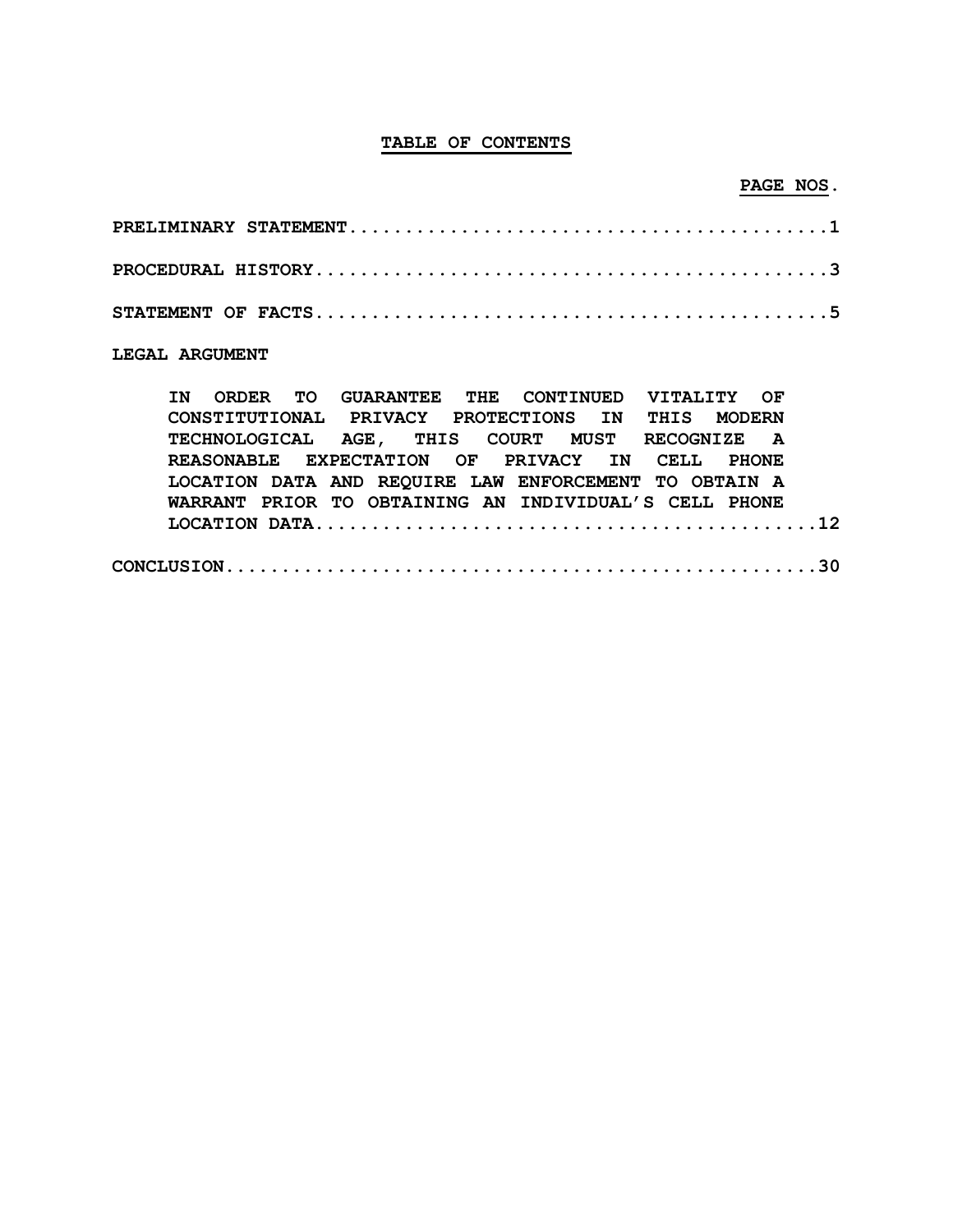### **TABLE OF CONTENTS**

## **PAGE NOS.**

### **LEGAL ARGUMENT**

|  |  | IN ORDER TO GUARANTEE THE CONTINUED VITALITY OF       |  |  |  |  |  |  |
|--|--|-------------------------------------------------------|--|--|--|--|--|--|
|  |  | CONSTITUTIONAL PRIVACY PROTECTIONS IN THIS MODERN     |  |  |  |  |  |  |
|  |  | TECHNOLOGICAL AGE, THIS COURT MUST RECOGNIZE A        |  |  |  |  |  |  |
|  |  | REASONABLE EXPECTATION OF PRIVACY IN CELL PHONE       |  |  |  |  |  |  |
|  |  | LOCATION DATA AND REQUIRE LAW ENFORCEMENT TO OBTAIN A |  |  |  |  |  |  |
|  |  | WARRANT PRIOR TO OBTAINING AN INDIVIDUAL'S CELL PHONE |  |  |  |  |  |  |
|  |  |                                                       |  |  |  |  |  |  |
|  |  |                                                       |  |  |  |  |  |  |
|  |  |                                                       |  |  |  |  |  |  |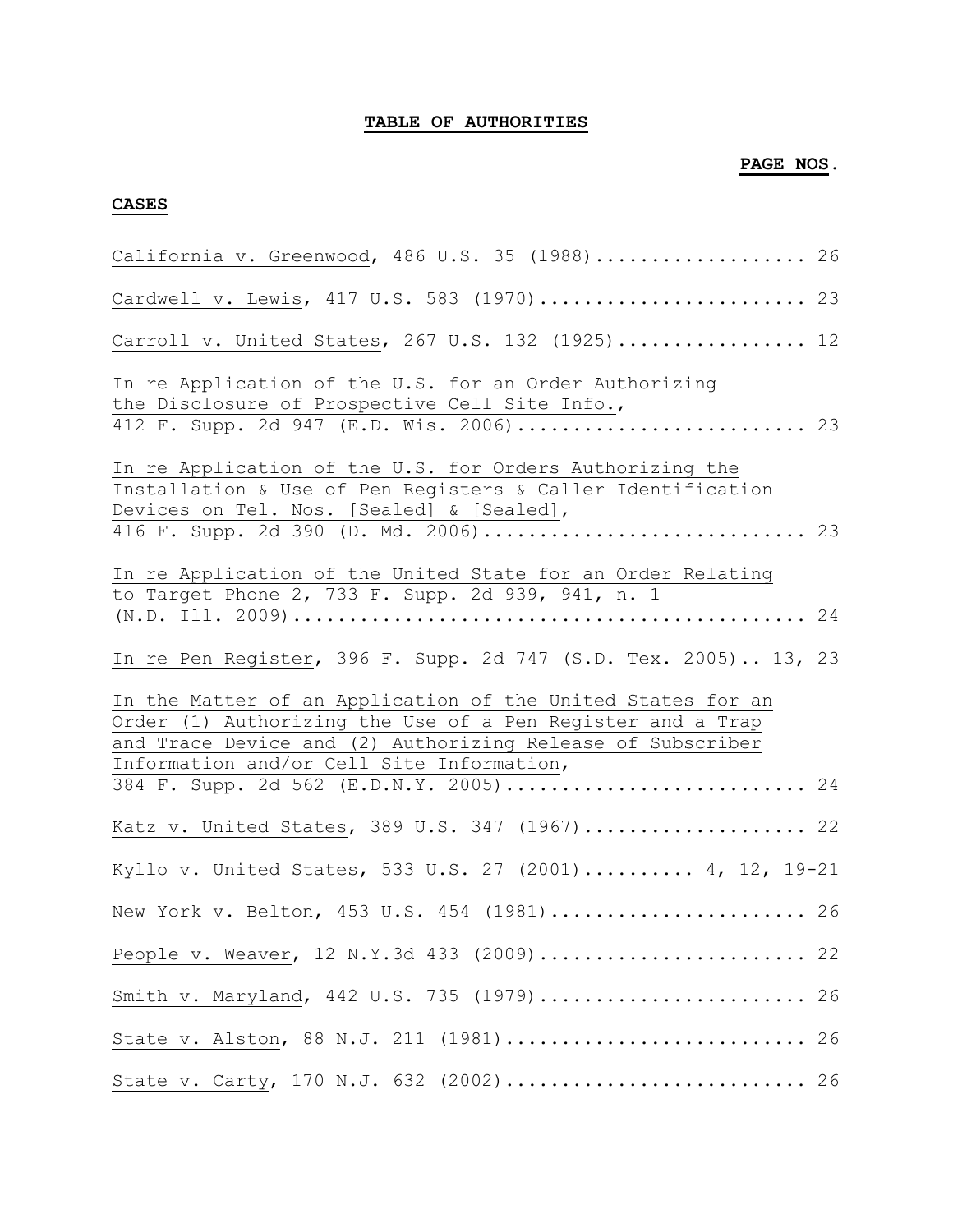### **TABLE OF AUTHORITIES**

### **PAGE NOS.**

### **CASES**

| California v. Greenwood, 486 U.S. 35 (1988) 26                                                                                                                                                                                                                                 |
|--------------------------------------------------------------------------------------------------------------------------------------------------------------------------------------------------------------------------------------------------------------------------------|
| Cardwell v. Lewis, 417 U.S. 583 (1970) 23                                                                                                                                                                                                                                      |
| Carroll v. United States, 267 U.S. 132 (1925) 12                                                                                                                                                                                                                               |
| In re Application of the U.S. for an Order Authorizing<br>the Disclosure of Prospective Cell Site Info.,<br>412 F. Supp. 2d 947 (E.D. Wis. 2006) 23                                                                                                                            |
| In re Application of the U.S. for Orders Authorizing the<br>Installation & Use of Pen Registers & Caller Identification<br>Devices on Tel. Nos. [Sealed] & [Sealed],                                                                                                           |
| In re Application of the United State for an Order Relating<br>to Target Phone 2, 733 F. Supp. 2d 939, 941, n. 1                                                                                                                                                               |
| In re Pen Register, 396 F. Supp. 2d 747 (S.D. Tex. 2005) 13, 23                                                                                                                                                                                                                |
| In the Matter of an Application of the United States for an<br>Order (1) Authorizing the Use of a Pen Register and a Trap<br>and Trace Device and (2) Authorizing Release of Subscriber<br>Information and/or Cell Site Information,<br>384 F. Supp. 2d 562 (E.D.N.Y. 2005) 24 |
| Katz v. United States, 389 U.S. 347 (1967) 22                                                                                                                                                                                                                                  |
| Kyllo v. United States, 533 U.S. 27 (2001) 4, 12, 19-21                                                                                                                                                                                                                        |
| New York v. Belton, 453 U.S. 454 (1981) 26                                                                                                                                                                                                                                     |
| People v. Weaver, 12 N.Y.3d 433 (2009) 22                                                                                                                                                                                                                                      |
| Smith v. Maryland, 442 U.S. 735 (1979) 26                                                                                                                                                                                                                                      |
| State v. Alston, 88 N.J. 211 (1981) 26                                                                                                                                                                                                                                         |
| State v. Carty, 170 N.J. 632 (2002) 26                                                                                                                                                                                                                                         |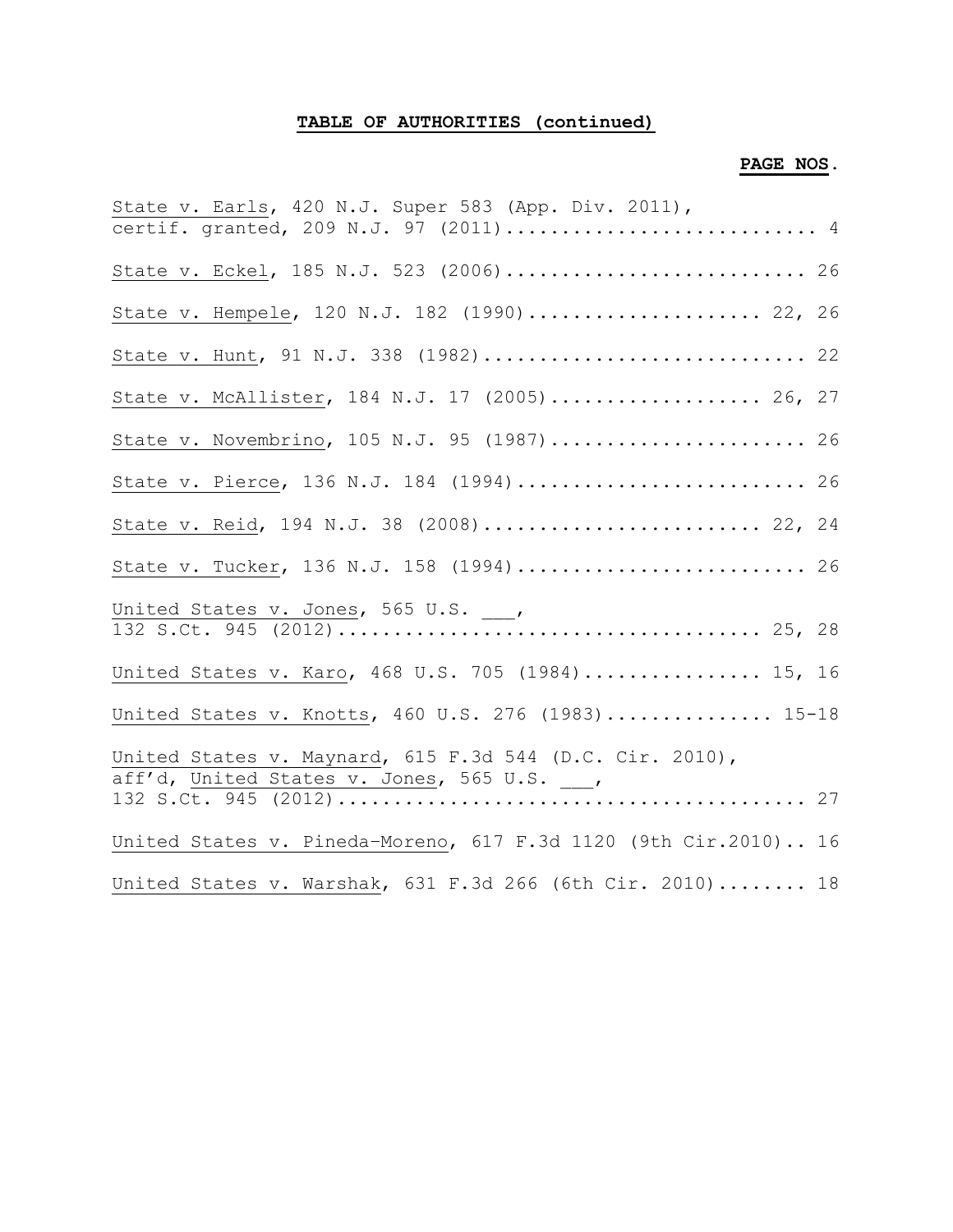# **TABLE OF AUTHORITIES (continued)**

## **PAGE NOS.**

| State v. Earls, 420 N.J. Super 583 (App. Div. 2011),            |
|-----------------------------------------------------------------|
| certif. granted, 209 N.J. 97 (2011) 4                           |
| State v. Eckel, 185 N.J. 523 (2006) 26                          |
| State v. Hempele, 120 N.J. 182 (1990) 22, 26                    |
| State v. Hunt, 91 N.J. 338 (1982) 22                            |
| State v. McAllister, 184 N.J. 17 (2005) 26, 27                  |
| State v. Novembrino, 105 N.J. 95 (1987) 26                      |
| State v. Pierce, 136 N.J. 184 (1994) 26                         |
| State v. Reid, 194 N.J. 38 (2008) 22, 24                        |
| State v. Tucker, 136 N.J. 158 (1994) 26                         |
|                                                                 |
|                                                                 |
| United States v. Karo, 468 U.S. 705 (1984) 15, 16               |
| United States v. Knotts, 460 U.S. 276 (1983) 15-18              |
| United States v. Maynard, 615 F.3d 544 (D.C. Cir. 2010),        |
| aff'd, United States v. Jones, 565 U.S. ___,                    |
| United States v. Pineda-Moreno, 617 F.3d 1120 (9th Cir.2010) 16 |
| United States v. Warshak, 631 F.3d 266 (6th Cir. 2010) 18       |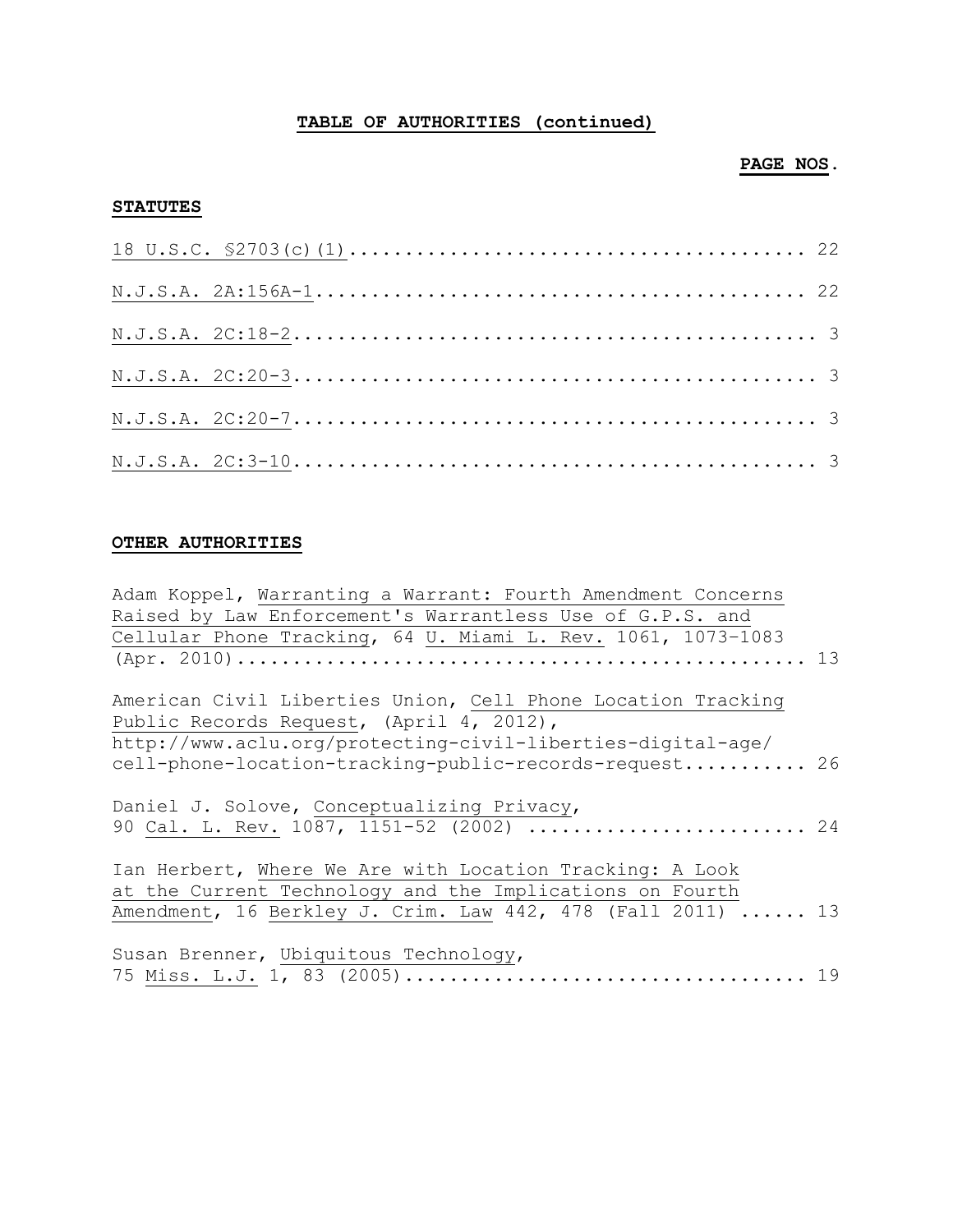# **TABLE OF AUTHORITIES (continued)**

### **PAGE NOS.**

### **STATUTES**

### **OTHER AUTHORITIES**

| Adam Koppel, Warranting a Warrant: Fourth Amendment Concerns |  |
|--------------------------------------------------------------|--|
| Raised by Law Enforcement's Warrantless Use of G.P.S. and    |  |
| Cellular Phone Tracking, 64 U. Miami L. Rev. 1061, 1073-1083 |  |
|                                                              |  |
| American Civil Liberties Union, Cell Phone Location Tracking |  |
| Public Records Request, (April 4, 2012),                     |  |
| http://www.aclu.org/protecting-civil-liberties-digital-age/  |  |
| cell-phone-location-tracking-public-records-request 26       |  |
|                                                              |  |
| Daniel J. Solove, Conceptualizing Privacy,                   |  |
| 90 Cal. L. Rev. 1087, 1151-52 (2002)  24                     |  |
|                                                              |  |
| Ian Herbert, Where We Are with Location Tracking: A Look     |  |
| at the Current Technology and the Implications on Fourth     |  |
| Amendment, 16 Berkley J. Crim. Law 442, 478 (Fall 2011)  13  |  |
|                                                              |  |
| Susan Brenner, Ubiquitous Technology,                        |  |
|                                                              |  |
|                                                              |  |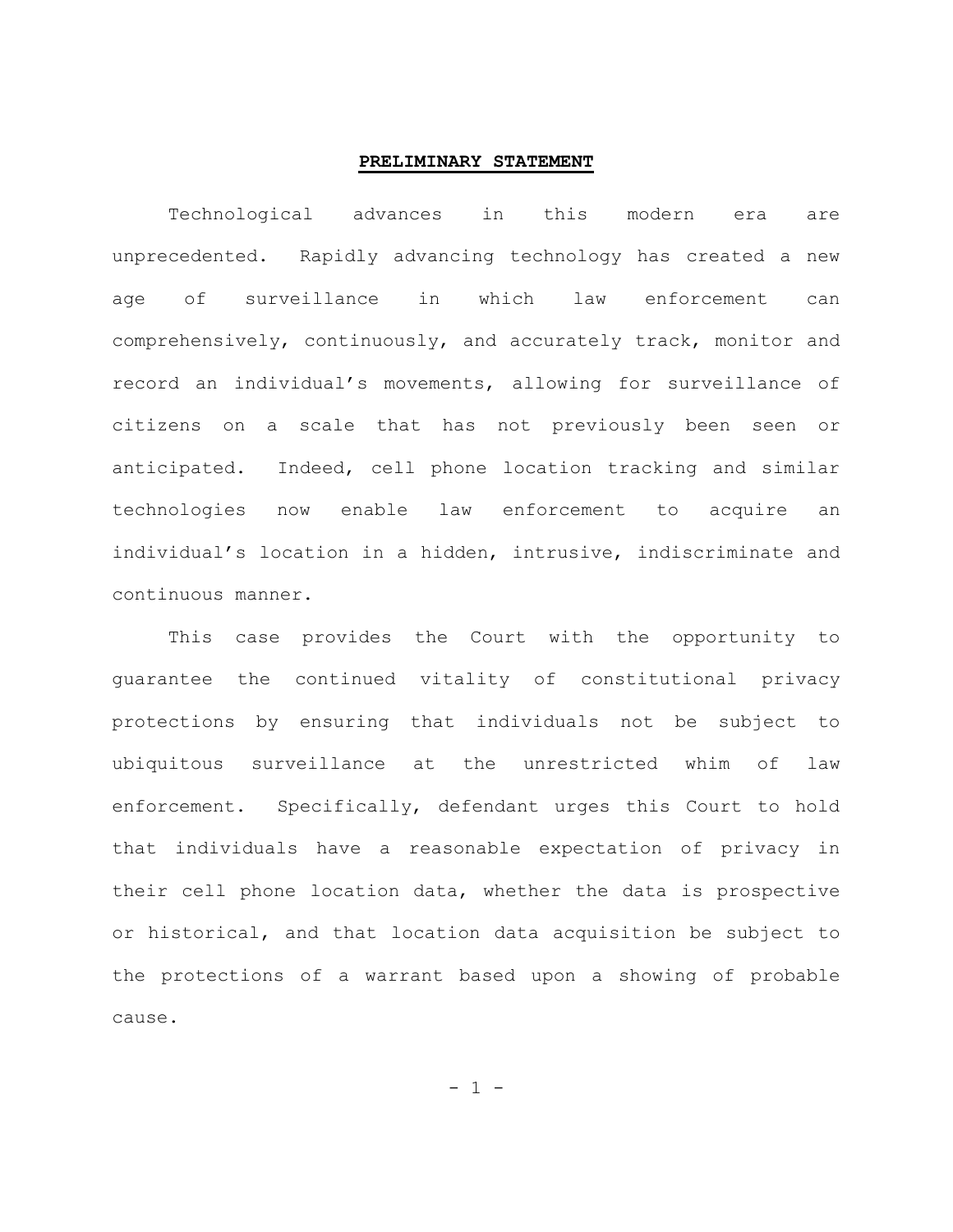#### **PRELIMINARY STATEMENT**

Technological advances in this modern era are unprecedented. Rapidly advancing technology has created a new age of surveillance in which law enforcement can comprehensively, continuously, and accurately track, monitor and record an individual's movements, allowing for surveillance of citizens on a scale that has not previously been seen or anticipated. Indeed, cell phone location tracking and similar technologies now enable law enforcement to acquire an individual's location in a hidden, intrusive, indiscriminate and continuous manner.

This case provides the Court with the opportunity to guarantee the continued vitality of constitutional privacy protections by ensuring that individuals not be subject to ubiquitous surveillance at the unrestricted whim of law enforcement. Specifically, defendant urges this Court to hold that individuals have a reasonable expectation of privacy in their cell phone location data, whether the data is prospective or historical, and that location data acquisition be subject to the protections of a warrant based upon a showing of probable cause.

 $- 1 -$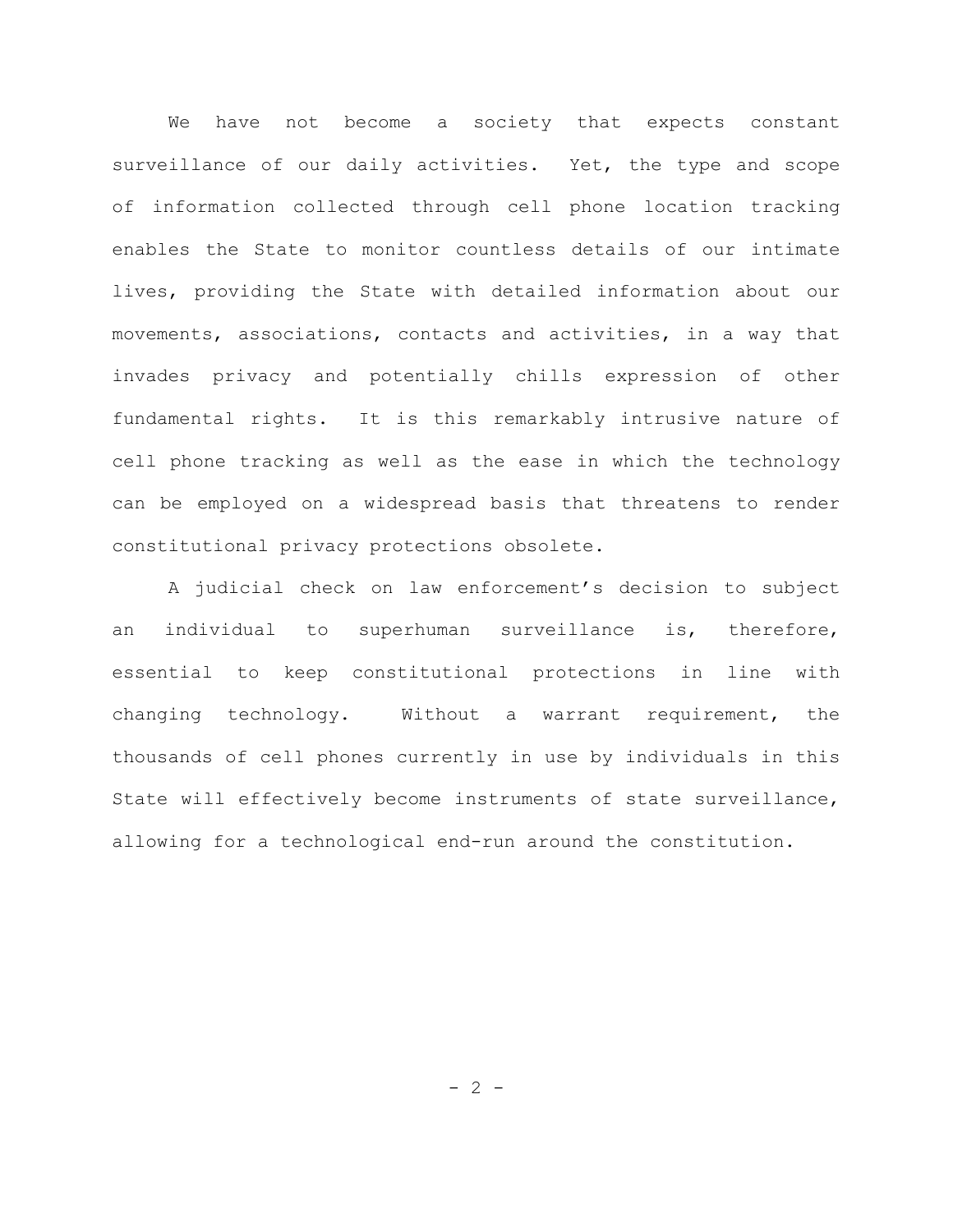We have not become a society that expects constant surveillance of our daily activities. Yet, the type and scope of information collected through cell phone location tracking enables the State to monitor countless details of our intimate lives, providing the State with detailed information about our movements, associations, contacts and activities, in a way that invades privacy and potentially chills expression of other fundamental rights. It is this remarkably intrusive nature of cell phone tracking as well as the ease in which the technology can be employed on a widespread basis that threatens to render constitutional privacy protections obsolete.

A judicial check on law enforcement's decision to subject an individual to superhuman surveillance is, therefore, essential to keep constitutional protections in line with changing technology. Without a warrant requirement, the thousands of cell phones currently in use by individuals in this State will effectively become instruments of state surveillance, allowing for a technological end-run around the constitution.

 $- 2 -$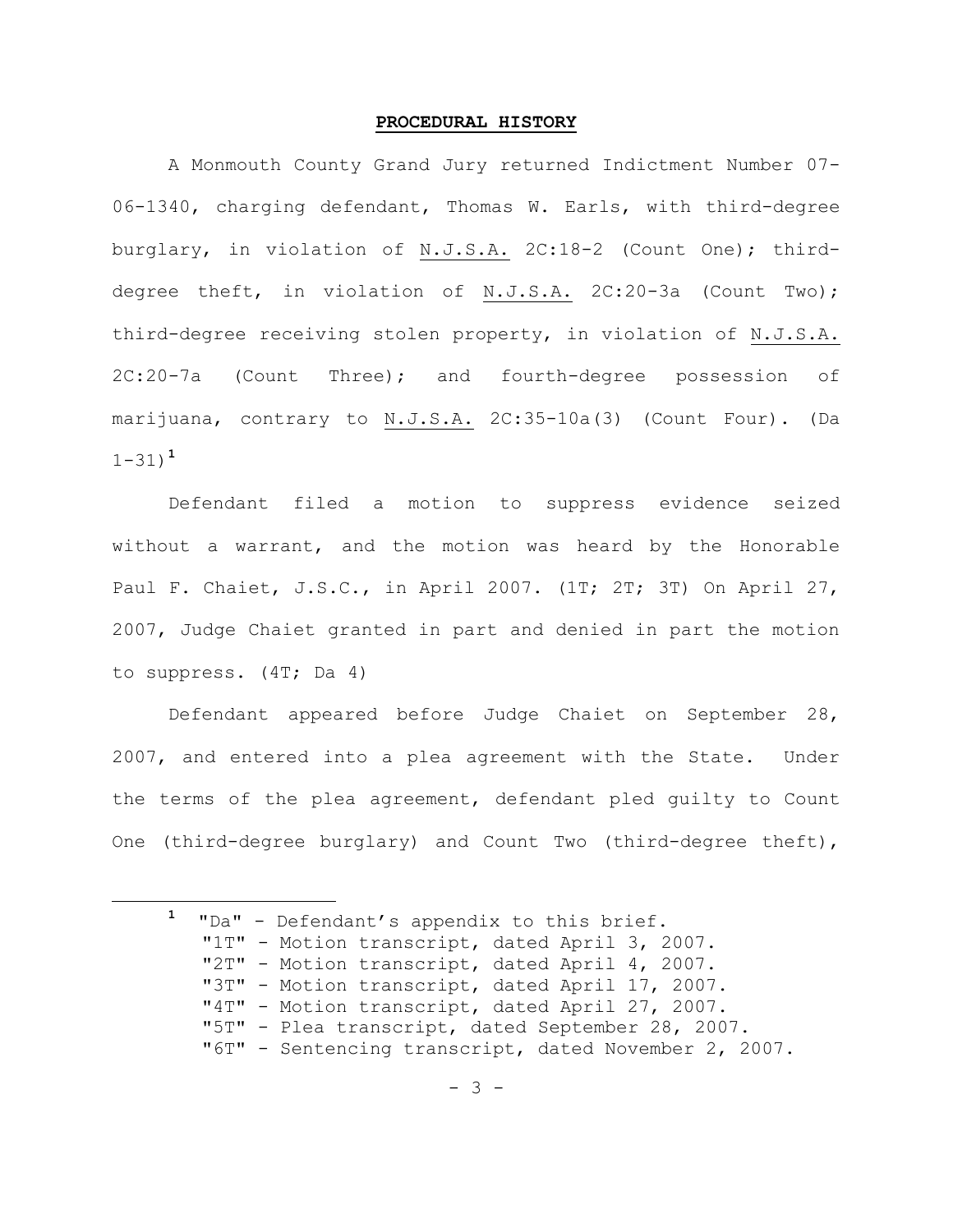#### **PROCEDURAL HISTORY**

 A Monmouth County Grand Jury returned Indictment Number 07- 06-1340, charging defendant, Thomas W. Earls, with third-degree burglary, in violation of N.J.S.A. 2C:18-2 (Count One); thirddegree theft, in violation of N.J.S.A. 2C:20-3a (Count Two); third-degree receiving stolen property, in violation of N.J.S.A. 2C:20-7a (Count Three); and fourth-degree possession of marijuana, contrary to N.J.S.A. 2C:35-10a(3) (Count Four). (Da 1-31) **1**

 Defendant filed a motion to suppress evidence seized without a warrant, and the motion was heard by the Honorable Paul F. Chaiet, J.S.C., in April 2007. (1T; 2T; 3T) On April 27, 2007, Judge Chaiet granted in part and denied in part the motion to suppress. (4T; Da 4)

Defendant appeared before Judge Chaiet on September 28, 2007, and entered into a plea agreement with the State. Under the terms of the plea agreement, defendant pled guilty to Count One (third-degree burglary) and Count Two (third-degree theft),

**<sup>1</sup>** "Da" - Defendant's appendix to this brief. "1T" - Motion transcript, dated April 3, 2007. "2T" - Motion transcript, dated April 4, 2007. "3T" - Motion transcript, dated April 17, 2007. "4T" - Motion transcript, dated April 27, 2007. "5T" - Plea transcript, dated September 28, 2007. "6T" - Sentencing transcript, dated November 2, 2007.

÷.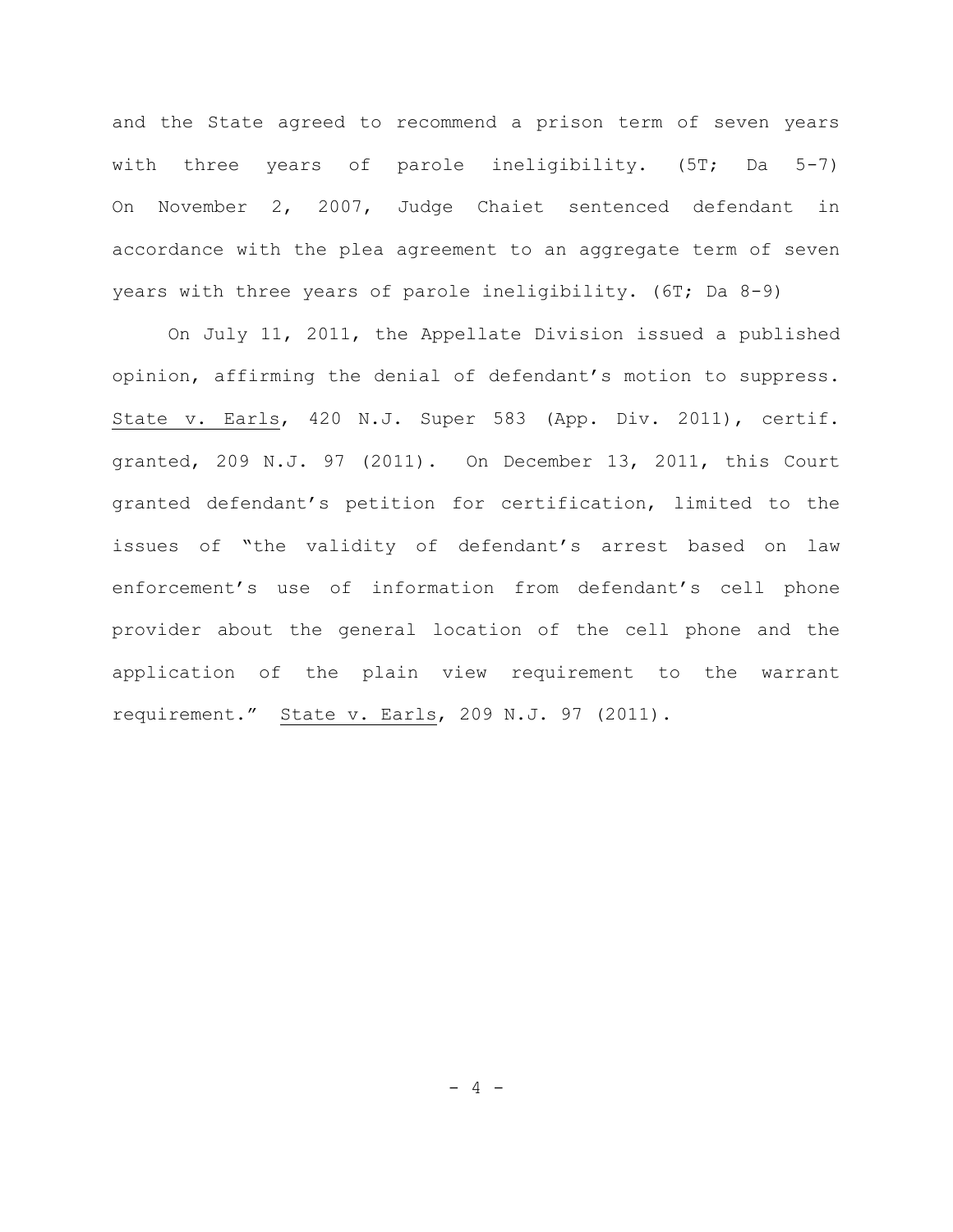and the State agreed to recommend a prison term of seven years with three years of parole ineligibility. (5T; Da 5-7) On November 2, 2007, Judge Chaiet sentenced defendant in accordance with the plea agreement to an aggregate term of seven years with three years of parole ineligibility. (6T; Da 8-9)

On July 11, 2011, the Appellate Division issued a published opinion, affirming the denial of defendant's motion to suppress. State v. Earls, 420 N.J. Super 583 (App. Div. 2011), certif. granted, 209 N.J. 97 (2011). On December 13, 2011, this Court granted defendant's petition for certification, limited to the issues of "the validity of defendant's arrest based on law enforcement's use of information from defendant's cell phone provider about the general location of the cell phone and the application of the plain view requirement to the warrant requirement." State v. Earls, 209 N.J. 97 (2011).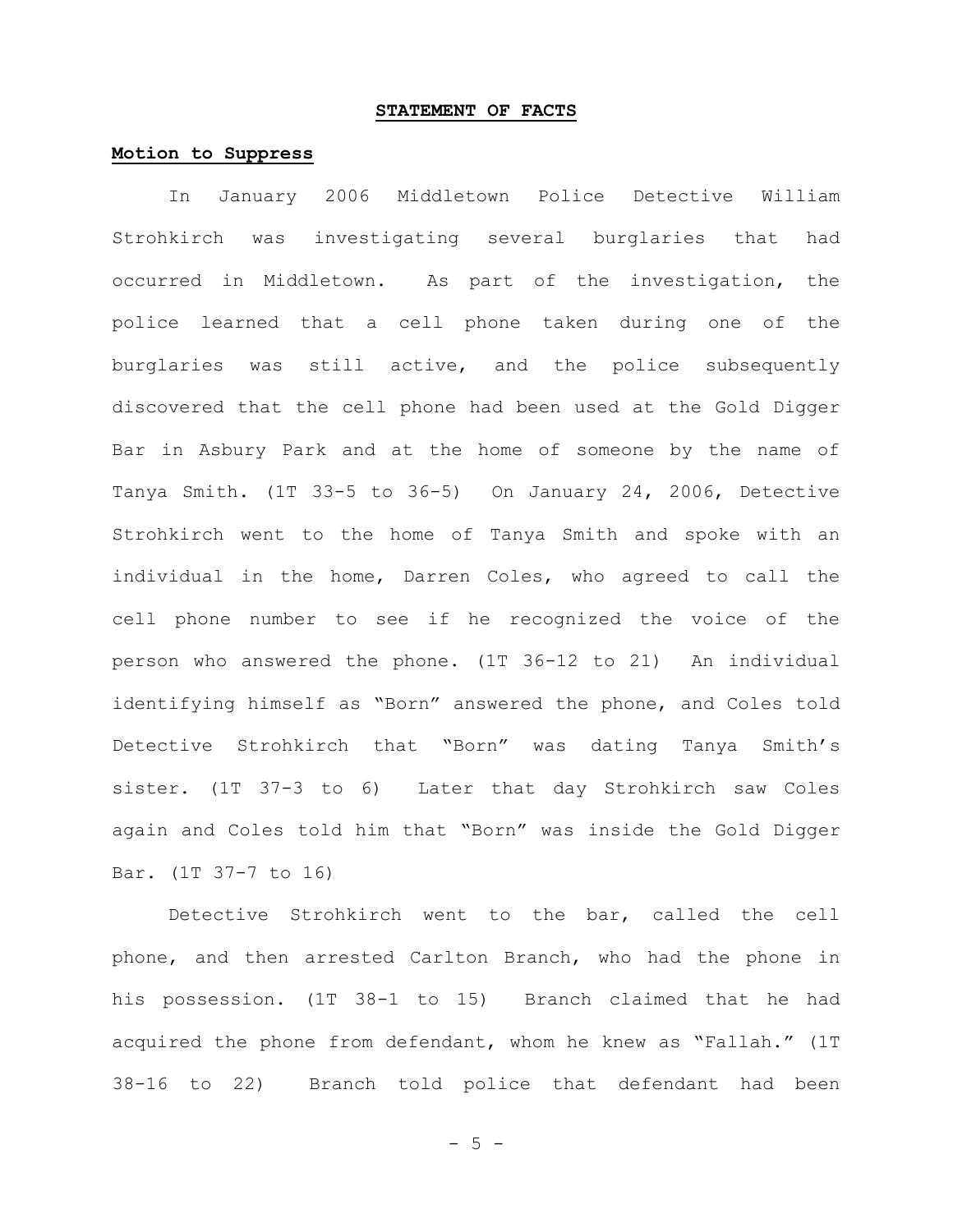#### **STATEMENT OF FACTS**

#### **Motion to Suppress**

In January 2006 Middletown Police Detective William Strohkirch was investigating several burglaries that had occurred in Middletown. As part of the investigation, the police learned that a cell phone taken during one of the burglaries was still active, and the police subsequently discovered that the cell phone had been used at the Gold Digger Bar in Asbury Park and at the home of someone by the name of Tanya Smith. (1T 33-5 to 36-5) On January 24, 2006, Detective Strohkirch went to the home of Tanya Smith and spoke with an individual in the home, Darren Coles, who agreed to call the cell phone number to see if he recognized the voice of the person who answered the phone. (1T 36-12 to 21) An individual identifying himself as "Born" answered the phone, and Coles told Detective Strohkirch that "Born" was dating Tanya Smith's sister. (1T 37-3 to 6) Later that day Strohkirch saw Coles again and Coles told him that "Born" was inside the Gold Digger Bar. (1T 37-7 to 16)

Detective Strohkirch went to the bar, called the cell phone, and then arrested Carlton Branch, who had the phone in his possession. (1T 38-1 to 15) Branch claimed that he had acquired the phone from defendant, whom he knew as "Fallah." (1T 38-16 to 22) Branch told police that defendant had been

- 5 -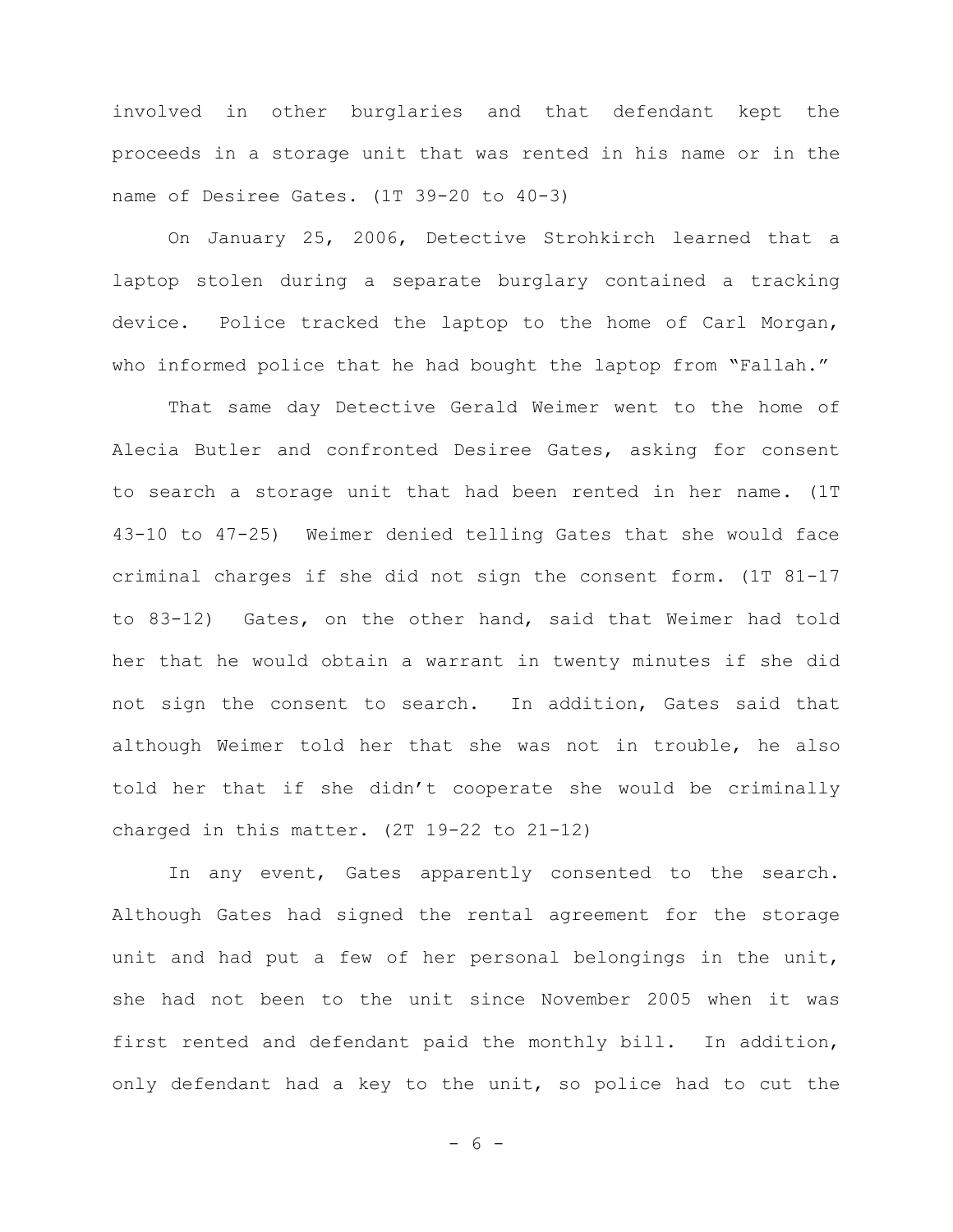involved in other burglaries and that defendant kept the proceeds in a storage unit that was rented in his name or in the name of Desiree Gates. (1T 39-20 to 40-3)

On January 25, 2006, Detective Strohkirch learned that a laptop stolen during a separate burglary contained a tracking device. Police tracked the laptop to the home of Carl Morgan, who informed police that he had bought the laptop from "Fallah."

That same day Detective Gerald Weimer went to the home of Alecia Butler and confronted Desiree Gates, asking for consent to search a storage unit that had been rented in her name. (1T 43-10 to 47-25) Weimer denied telling Gates that she would face criminal charges if she did not sign the consent form. (1T 81-17 to 83-12) Gates, on the other hand, said that Weimer had told her that he would obtain a warrant in twenty minutes if she did not sign the consent to search. In addition, Gates said that although Weimer told her that she was not in trouble, he also told her that if she didn't cooperate she would be criminally charged in this matter. (2T 19-22 to 21-12)

In any event, Gates apparently consented to the search. Although Gates had signed the rental agreement for the storage unit and had put a few of her personal belongings in the unit, she had not been to the unit since November 2005 when it was first rented and defendant paid the monthly bill. In addition, only defendant had a key to the unit, so police had to cut the

- 6 -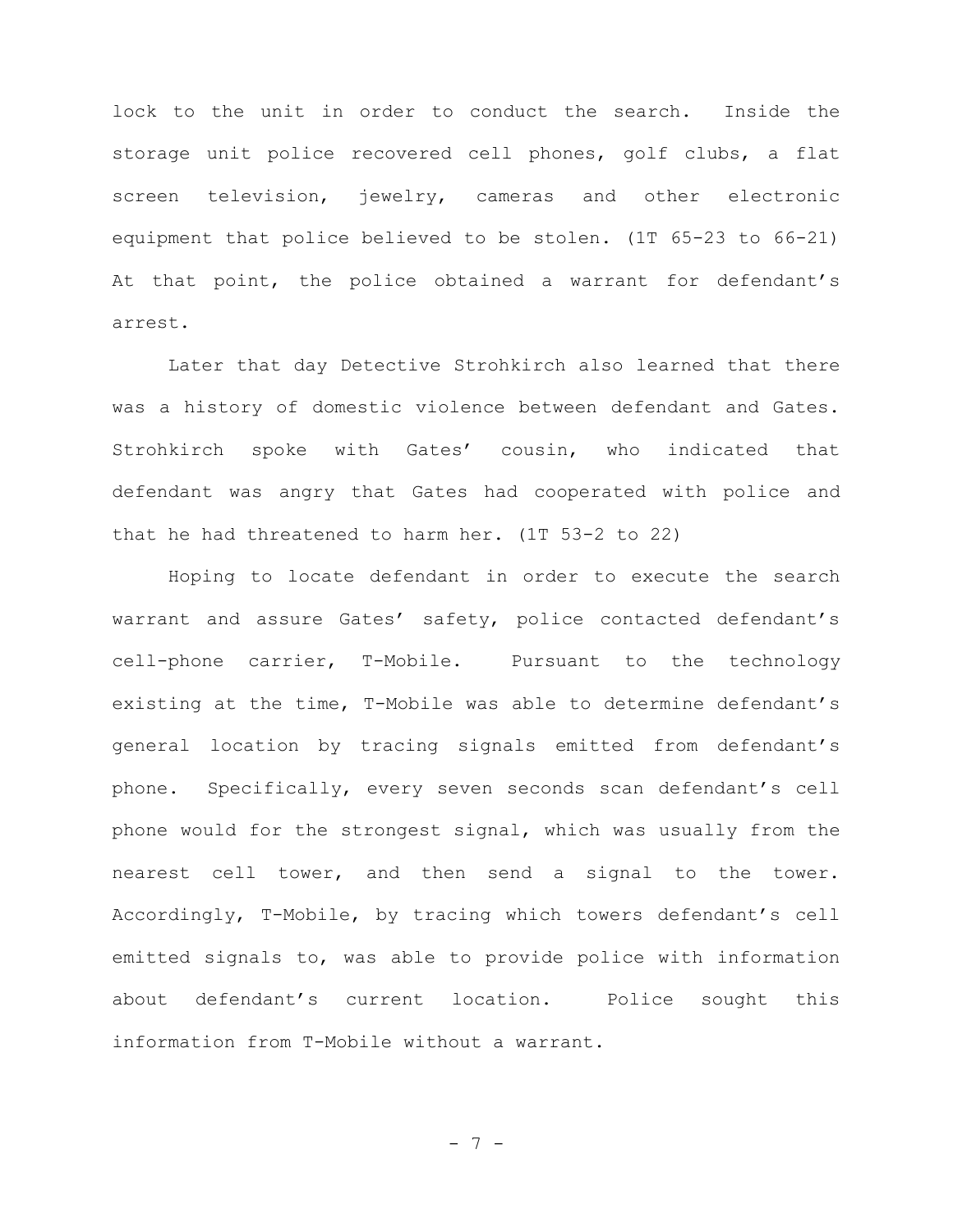lock to the unit in order to conduct the search. Inside the storage unit police recovered cell phones, golf clubs, a flat screen television, jewelry, cameras and other electronic equipment that police believed to be stolen. (1T 65-23 to 66-21) At that point, the police obtained a warrant for defendant's arrest.

Later that day Detective Strohkirch also learned that there was a history of domestic violence between defendant and Gates. Strohkirch spoke with Gates' cousin, who indicated that defendant was angry that Gates had cooperated with police and that he had threatened to harm her. (1T 53-2 to 22)

Hoping to locate defendant in order to execute the search warrant and assure Gates' safety, police contacted defendant's cell-phone carrier, T-Mobile. Pursuant to the technology existing at the time, T-Mobile was able to determine defendant's general location by tracing signals emitted from defendant's phone. Specifically, every seven seconds scan defendant's cell phone would for the strongest signal, which was usually from the nearest cell tower, and then send a signal to the tower. Accordingly, T-Mobile, by tracing which towers defendant's cell emitted signals to, was able to provide police with information about defendant's current location. Police sought this information from T-Mobile without a warrant.

- 7 -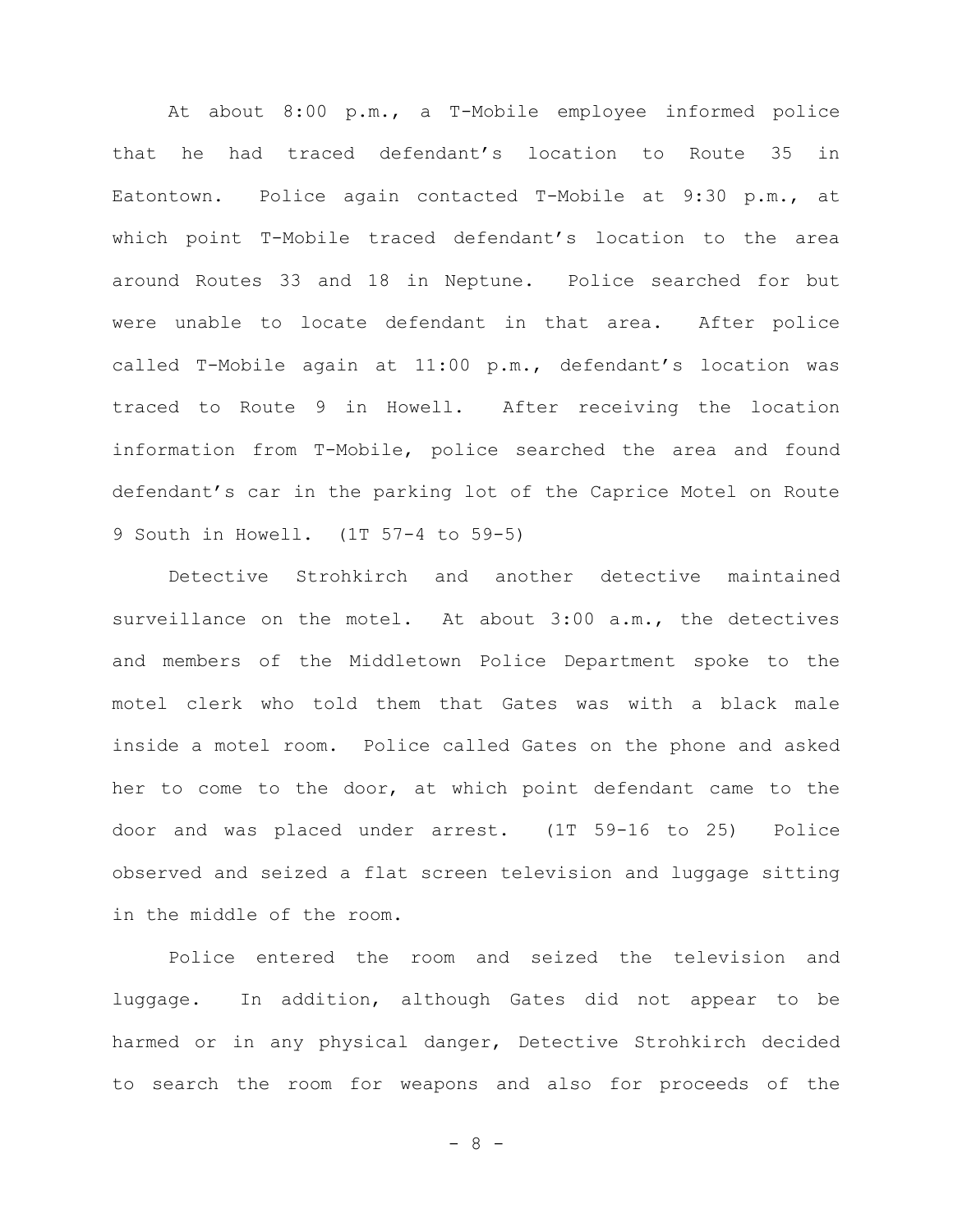At about 8:00 p.m., a T-Mobile employee informed police that he had traced defendant's location to Route 35 in Eatontown. Police again contacted T-Mobile at 9:30 p.m., at which point T-Mobile traced defendant's location to the area around Routes 33 and 18 in Neptune. Police searched for but were unable to locate defendant in that area. After police called T-Mobile again at 11:00 p.m., defendant's location was traced to Route 9 in Howell. After receiving the location information from T-Mobile, police searched the area and found defendant's car in the parking lot of the Caprice Motel on Route 9 South in Howell. (1T 57-4 to 59-5)

Detective Strohkirch and another detective maintained surveillance on the motel. At about 3:00 a.m., the detectives and members of the Middletown Police Department spoke to the motel clerk who told them that Gates was with a black male inside a motel room. Police called Gates on the phone and asked her to come to the door, at which point defendant came to the door and was placed under arrest. (1T 59-16 to 25) Police observed and seized a flat screen television and luggage sitting in the middle of the room.

Police entered the room and seized the television and luggage. In addition, although Gates did not appear to be harmed or in any physical danger, Detective Strohkirch decided to search the room for weapons and also for proceeds of the

- 8 -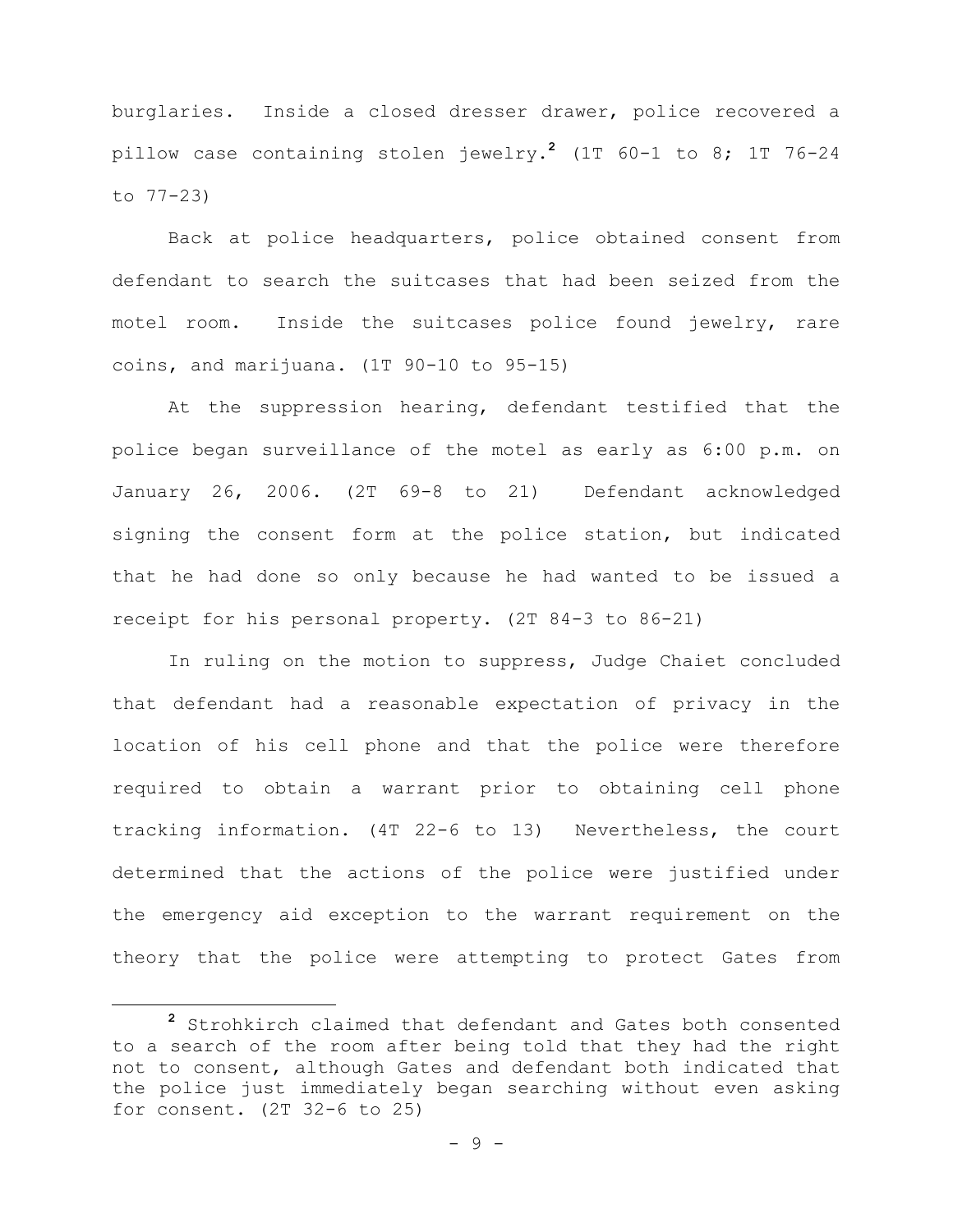burglaries. Inside a closed dresser drawer, police recovered a pillow case containing stolen jewelry. **<sup>2</sup>** (1T 60-1 to 8; 1T 76-24 to 77-23)

Back at police headquarters, police obtained consent from defendant to search the suitcases that had been seized from the motel room. Inside the suitcases police found jewelry, rare coins, and marijuana. (1T 90-10 to 95-15)

At the suppression hearing, defendant testified that the police began surveillance of the motel as early as 6:00 p.m. on January 26, 2006. (2T 69-8 to 21) Defendant acknowledged signing the consent form at the police station, but indicated that he had done so only because he had wanted to be issued a receipt for his personal property. (2T 84-3 to 86-21)

In ruling on the motion to suppress, Judge Chaiet concluded that defendant had a reasonable expectation of privacy in the location of his cell phone and that the police were therefore required to obtain a warrant prior to obtaining cell phone tracking information. (4T 22-6 to 13) Nevertheless, the court determined that the actions of the police were justified under the emergency aid exception to the warrant requirement on the theory that the police were attempting to protect Gates from

÷.

**<sup>2</sup>** Strohkirch claimed that defendant and Gates both consented to a search of the room after being told that they had the right not to consent, although Gates and defendant both indicated that the police just immediately began searching without even asking for consent. (2T 32-6 to 25)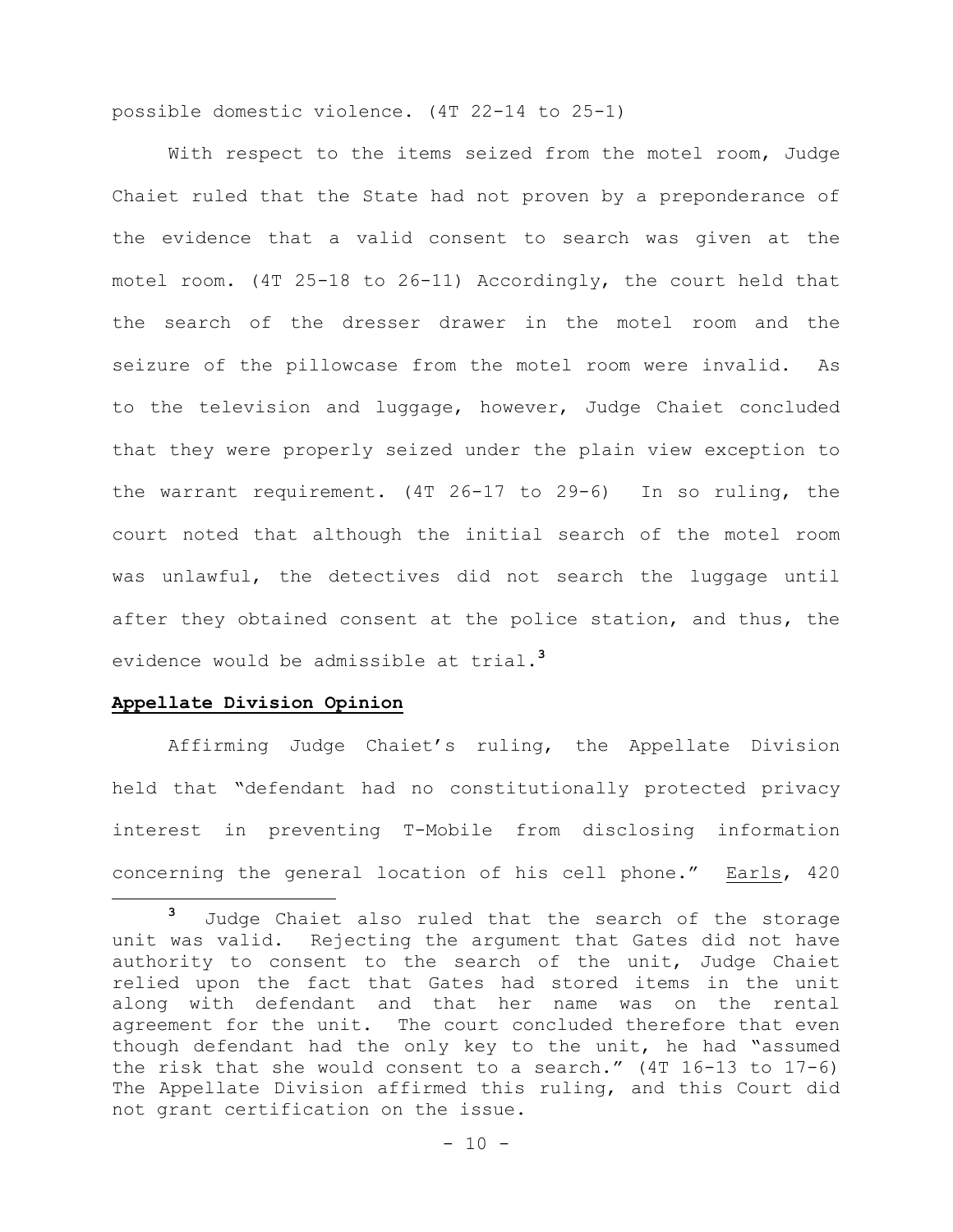possible domestic violence. (4T 22-14 to 25-1)

With respect to the items seized from the motel room, Judge Chaiet ruled that the State had not proven by a preponderance of the evidence that a valid consent to search was given at the motel room. (4T 25-18 to 26-11) Accordingly, the court held that the search of the dresser drawer in the motel room and the seizure of the pillowcase from the motel room were invalid. As to the television and luggage, however, Judge Chaiet concluded that they were properly seized under the plain view exception to the warrant requirement. (4T 26-17 to 29-6) In so ruling, the court noted that although the initial search of the motel room was unlawful, the detectives did not search the luggage until after they obtained consent at the police station, and thus, the evidence would be admissible at trial.**<sup>3</sup>**

#### **Appellate Division Opinion**

÷.

Affirming Judge Chaiet's ruling, the Appellate Division held that "defendant had no constitutionally protected privacy interest in preventing T-Mobile from disclosing information concerning the general location of his cell phone." Earls, 420

**<sup>3</sup>** Judge Chaiet also ruled that the search of the storage unit was valid. Rejecting the argument that Gates did not have authority to consent to the search of the unit, Judge Chaiet relied upon the fact that Gates had stored items in the unit along with defendant and that her name was on the rental agreement for the unit. The court concluded therefore that even though defendant had the only key to the unit, he had "assumed the risk that she would consent to a search." (4T 16-13 to 17-6) The Appellate Division affirmed this ruling, and this Court did not grant certification on the issue.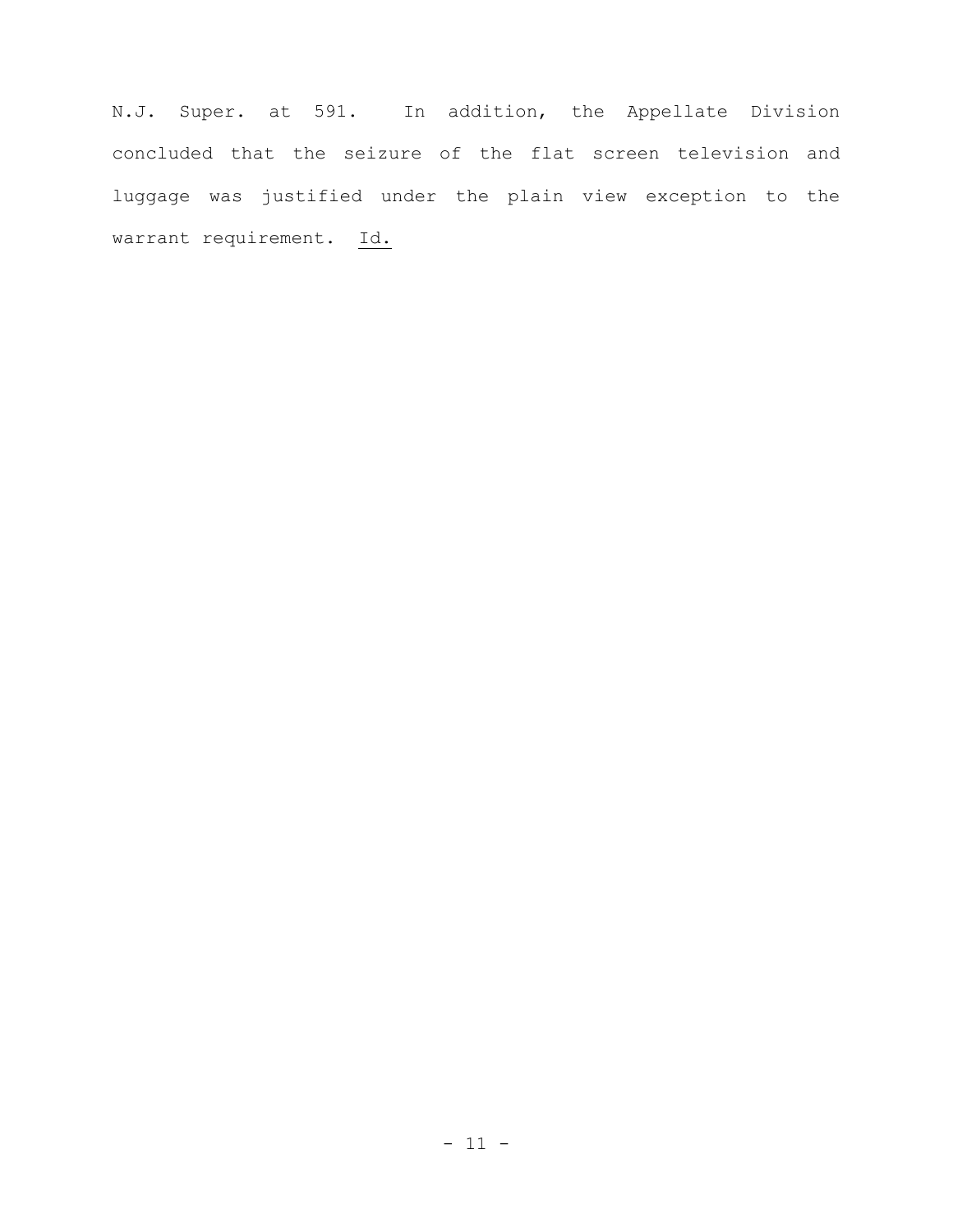N.J. Super. at 591. In addition, the Appellate Division concluded that the seizure of the flat screen television and luggage was justified under the plain view exception to the warrant requirement. Id.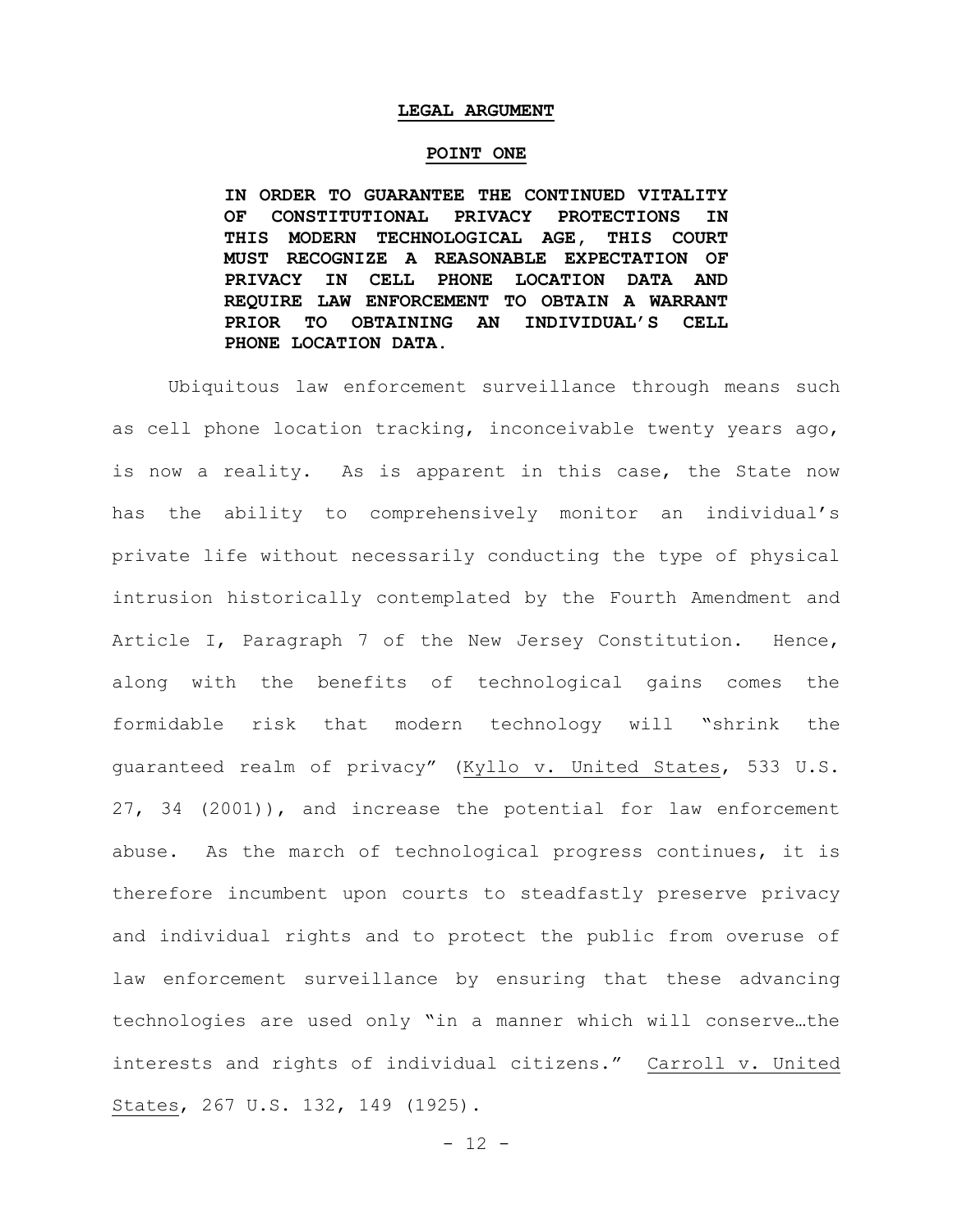#### **LEGAL ARGUMENT**

#### **POINT ONE**

**IN ORDER TO GUARANTEE THE CONTINUED VITALITY OF CONSTITUTIONAL PRIVACY PROTECTIONS IN THIS MODERN TECHNOLOGICAL AGE, THIS COURT MUST RECOGNIZE A REASONABLE EXPECTATION OF PRIVACY IN CELL PHONE LOCATION DATA AND REQUIRE LAW ENFORCEMENT TO OBTAIN A WARRANT PRIOR TO OBTAINING AN INDIVIDUAL'S CELL PHONE LOCATION DATA.** 

Ubiquitous law enforcement surveillance through means such as cell phone location tracking, inconceivable twenty years ago, is now a reality. As is apparent in this case, the State now has the ability to comprehensively monitor an individual's private life without necessarily conducting the type of physical intrusion historically contemplated by the Fourth Amendment and Article I, Paragraph 7 of the New Jersey Constitution. Hence, along with the benefits of technological gains comes the formidable risk that modern technology will "shrink the guaranteed realm of privacy" (Kyllo v. United States, 533 U.S. 27, 34 (2001)), and increase the potential for law enforcement abuse. As the march of technological progress continues, it is therefore incumbent upon courts to steadfastly preserve privacy and individual rights and to protect the public from overuse of law enforcement surveillance by ensuring that these advancing technologies are used only "in a manner which will conserve…the interests and rights of individual citizens." Carroll v. United States, 267 U.S. 132, 149 (1925).

 $- 12 -$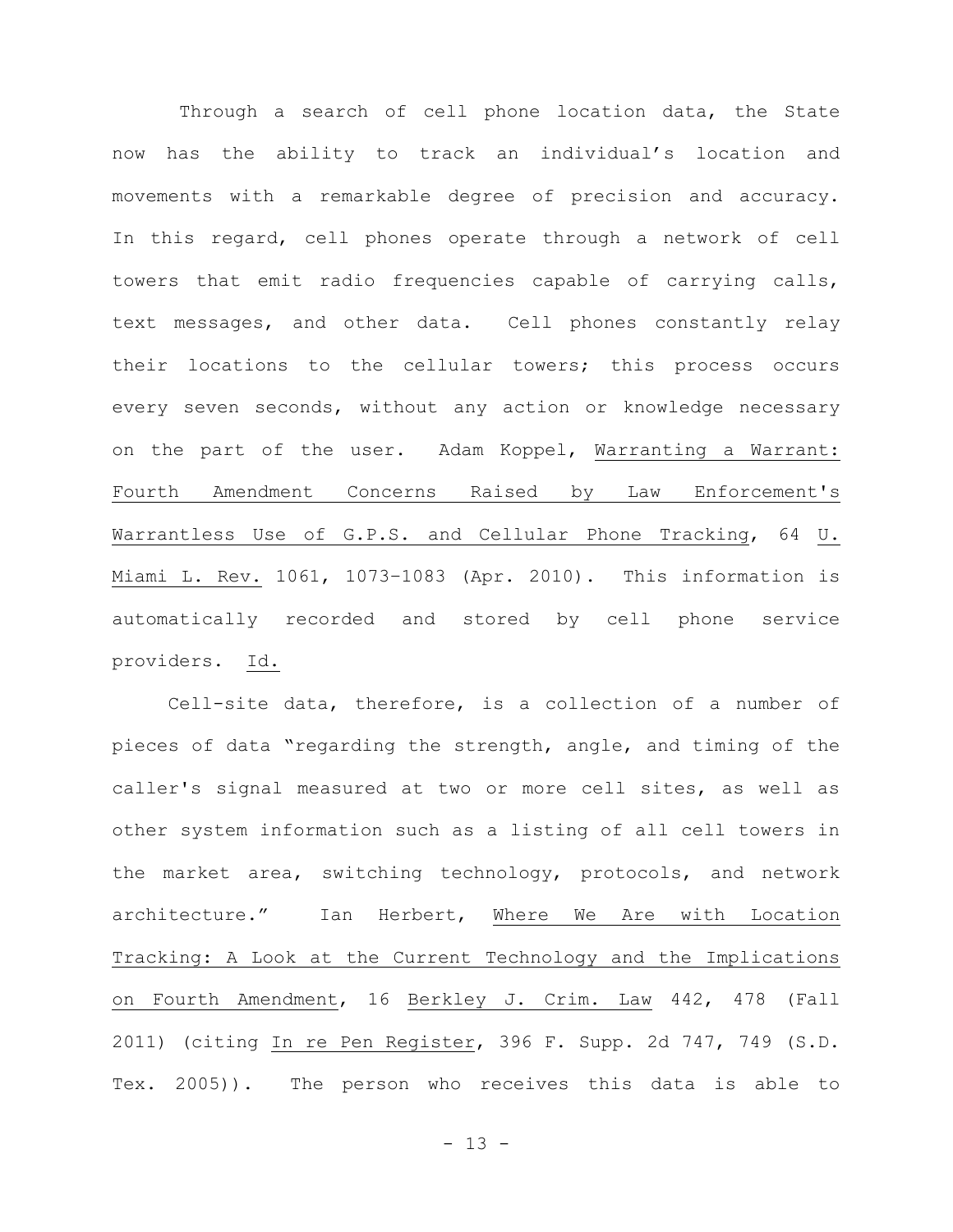Through a search of cell phone location data, the State now has the ability to track an individual's location and movements with a remarkable degree of precision and accuracy. In this regard, cell phones operate through a network of cell towers that emit radio frequencies capable of carrying calls, text messages, and other data. Cell phones constantly relay their locations to the cellular towers; this process occurs every seven seconds, without any action or knowledge necessary on the part of the user. Adam Koppel, Warranting a Warrant: Fourth Amendment Concerns Raised by Law Enforcement's Warrantless Use of G.P.S. and Cellular Phone Tracking, 64 U. Miami L. Rev. 1061, 1073–1083 (Apr. 2010). This information is automatically recorded and stored by cell phone service providers. Id.

Cell-site data, therefore, is a collection of a number of pieces of data "regarding the strength, angle, and timing of the caller's signal measured at two or more cell sites, as well as other system information such as a listing of all cell towers in the market area, switching technology, protocols, and network architecture." Ian Herbert, Where We Are with Location Tracking: A Look at the Current Technology and the Implications on Fourth Amendment, 16 Berkley J. Crim. Law 442, 478 (Fall 2011) (citing In re Pen Register, 396 F. Supp. 2d 747, 749 (S.D. Tex. 2005)). The person who receives this data is able to

- 13 -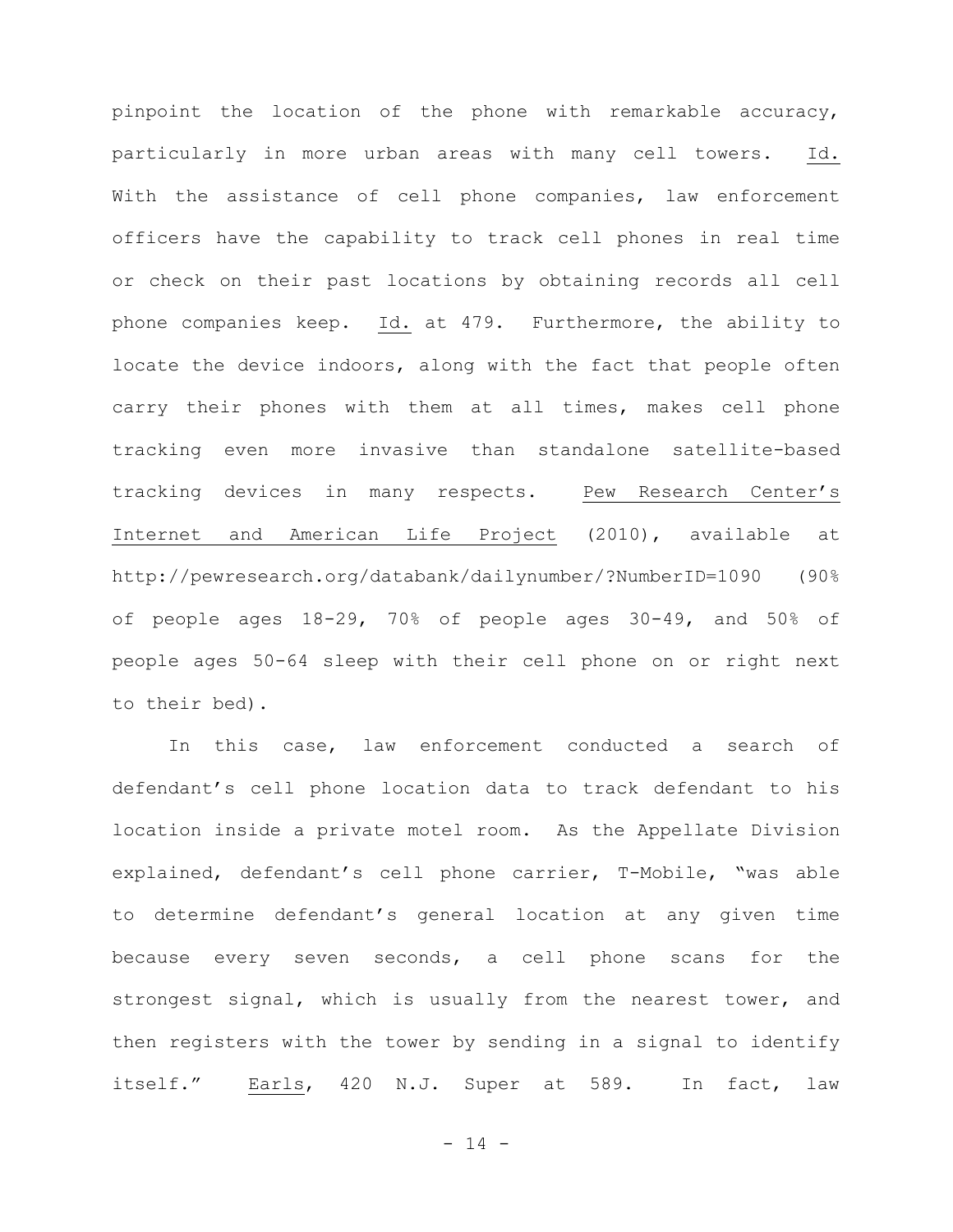pinpoint the location of the phone with remarkable accuracy, particularly in more urban areas with many cell towers. Id. With the assistance of cell phone companies, law enforcement officers have the capability to track cell phones in real time or check on their past locations by obtaining records all cell phone companies keep. Id. at 479. Furthermore, the ability to locate the device indoors, along with the fact that people often carry their phones with them at all times, makes cell phone tracking even more invasive than standalone satellite-based tracking devices in many respects. Pew Research Center's Internet and American Life Project (2010), available at http://pewresearch.org/databank/dailynumber/?NumberID=1090 (90% of people ages 18-29, 70% of people ages 30-49, and 50% of people ages 50-64 sleep with their cell phone on or right next to their bed).

In this case, law enforcement conducted a search of defendant's cell phone location data to track defendant to his location inside a private motel room. As the Appellate Division explained, defendant's cell phone carrier, T-Mobile, "was able to determine defendant's general location at any given time because every seven seconds, a cell phone scans for the strongest signal, which is usually from the nearest tower, and then registers with the tower by sending in a signal to identify itself." Earls, 420 N.J. Super at 589. In fact, law

- 14 -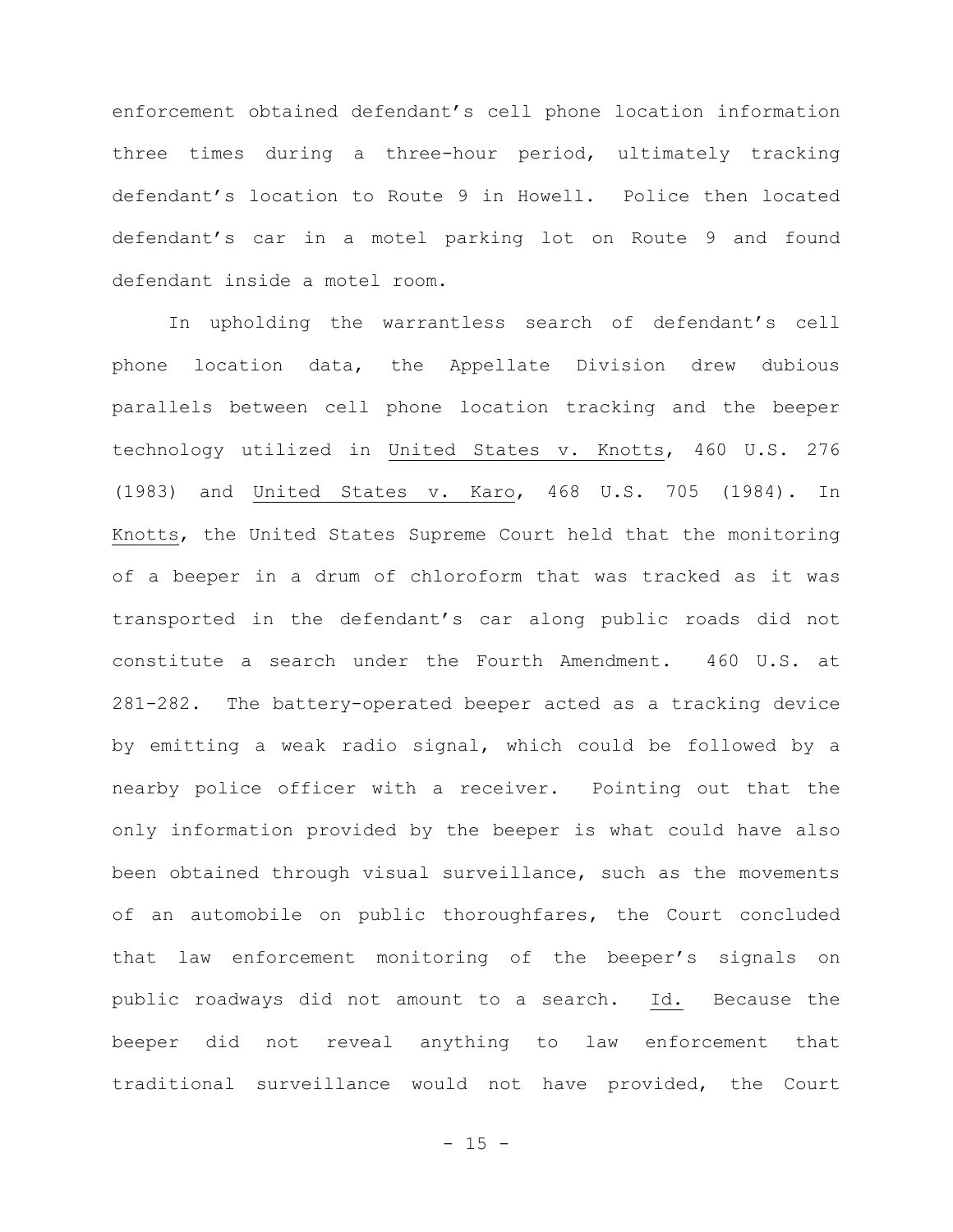enforcement obtained defendant's cell phone location information three times during a three-hour period, ultimately tracking defendant's location to Route 9 in Howell. Police then located defendant's car in a motel parking lot on Route 9 and found defendant inside a motel room.

In upholding the warrantless search of defendant's cell phone location data, the Appellate Division drew dubious parallels between cell phone location tracking and the beeper technology utilized in United States v. Knotts, 460 U.S. 276 (1983) and United States v. Karo, 468 U.S. 705 (1984). In Knotts, the United States Supreme Court held that the monitoring of a beeper in a drum of chloroform that was tracked as it was transported in the defendant's car along public roads did not constitute a search under the Fourth Amendment. 460 U.S. at 281-282. The battery-operated beeper acted as a tracking device by emitting a weak radio signal, which could be followed by a nearby police officer with a receiver. Pointing out that the only information provided by the beeper is what could have also been obtained through visual surveillance, such as the movements of an automobile on public thoroughfares, the Court concluded that law enforcement monitoring of the beeper's signals on public roadways did not amount to a search. Id. Because the beeper did not reveal anything to law enforcement that traditional surveillance would not have provided, the Court

 $-15 -$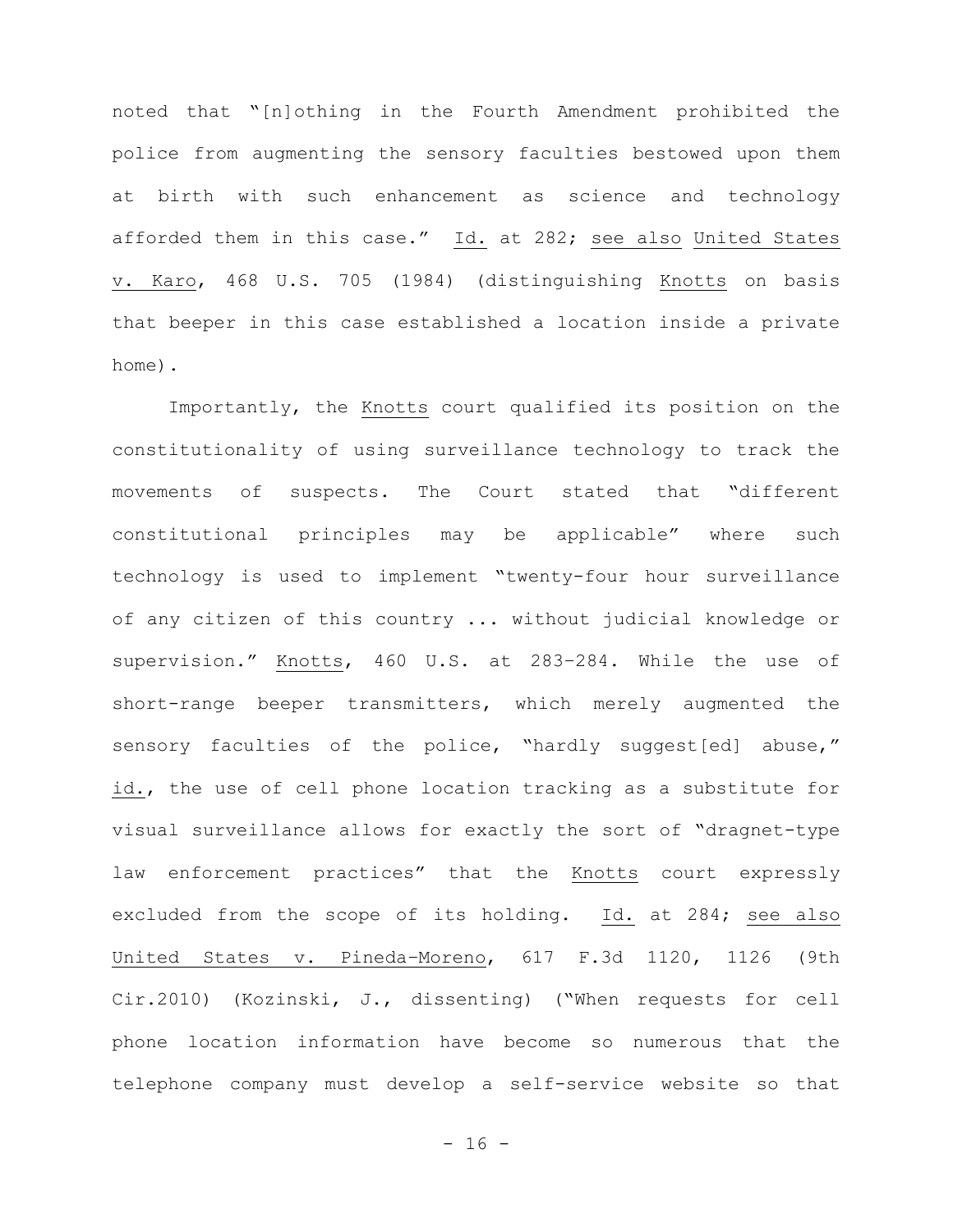noted that "[n]othing in the Fourth Amendment prohibited the police from augmenting the sensory faculties bestowed upon them at birth with such enhancement as science and technology afforded them in this case." Id. at 282; see also United States v. Karo, 468 U.S. 705 (1984) (distinguishing Knotts on basis that beeper in this case established a location inside a private home).

Importantly, the Knotts court qualified its position on the constitutionality of using surveillance technology to track the movements of suspects. The Court stated that "different constitutional principles may be applicable" where such technology is used to implement "twenty-four hour surveillance of any citizen of this country ... without judicial knowledge or supervision." Knotts, 460 U.S. at 283–284. While the use of short-range beeper transmitters, which merely augmented the sensory faculties of the police, "hardly suggest[ed] abuse," id., the use of cell phone location tracking as a substitute for visual surveillance allows for exactly the sort of "dragnet-type law enforcement practices" that the Knotts court expressly excluded from the scope of its holding. Id. at 284; see also United States v. Pineda–Moreno, 617 F.3d 1120, 1126 (9th Cir.2010) (Kozinski, J., dissenting) ("When requests for cell phone location information have become so numerous that the telephone company must develop a self-service website so that

- 16 -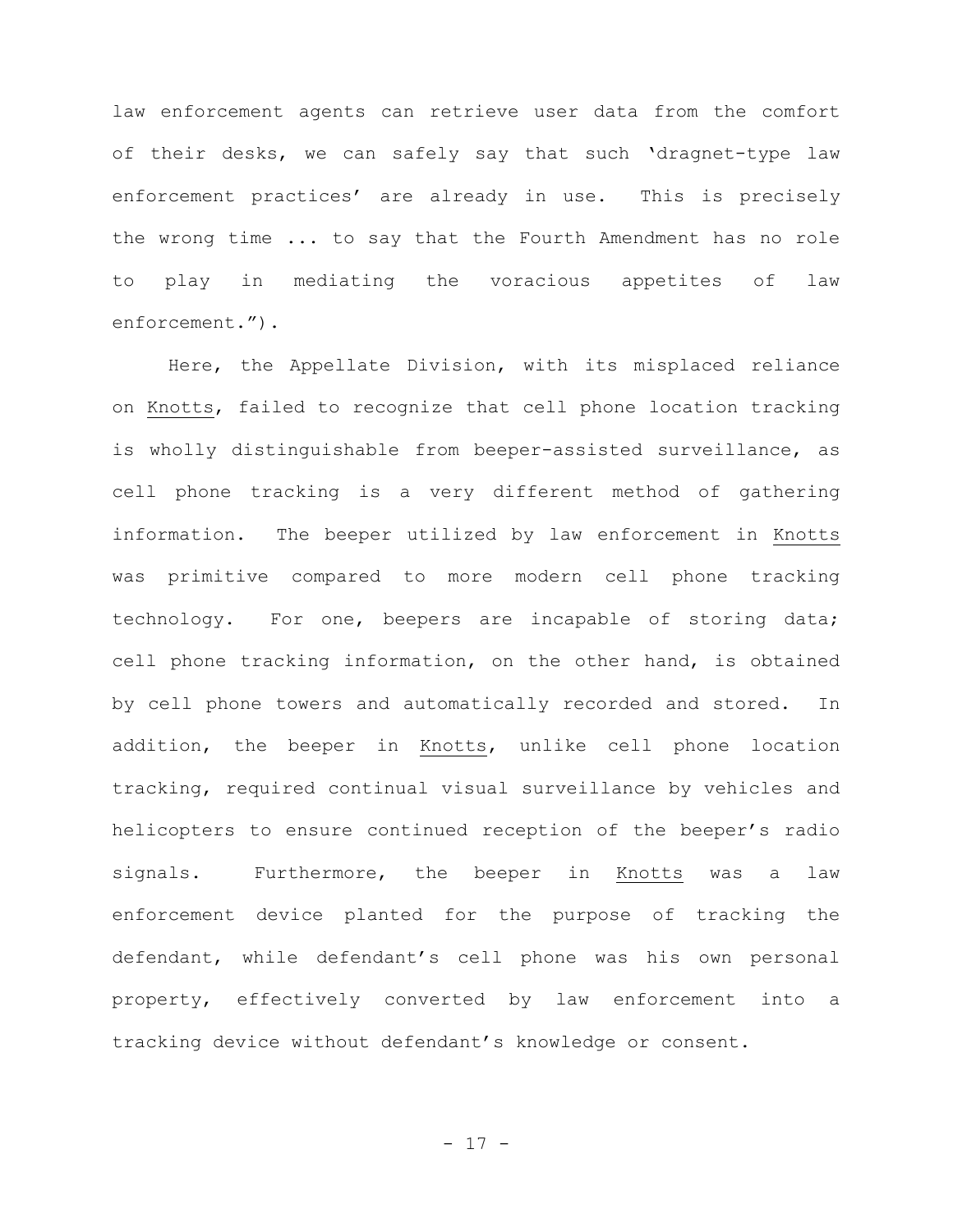law enforcement agents can retrieve user data from the comfort of their desks, we can safely say that such 'dragnet-type law enforcement practices' are already in use. This is precisely the wrong time ... to say that the Fourth Amendment has no role to play in mediating the voracious appetites of law enforcement.").

Here, the Appellate Division, with its misplaced reliance on Knotts, failed to recognize that cell phone location tracking is wholly distinguishable from beeper-assisted surveillance, as cell phone tracking is a very different method of gathering information. The beeper utilized by law enforcement in Knotts was primitive compared to more modern cell phone tracking technology. For one, beepers are incapable of storing data; cell phone tracking information, on the other hand, is obtained by cell phone towers and automatically recorded and stored. In addition, the beeper in Knotts, unlike cell phone location tracking, required continual visual surveillance by vehicles and helicopters to ensure continued reception of the beeper's radio signals. Furthermore, the beeper in Knotts was a law enforcement device planted for the purpose of tracking the defendant, while defendant's cell phone was his own personal property, effectively converted by law enforcement into a tracking device without defendant's knowledge or consent.

- 17 -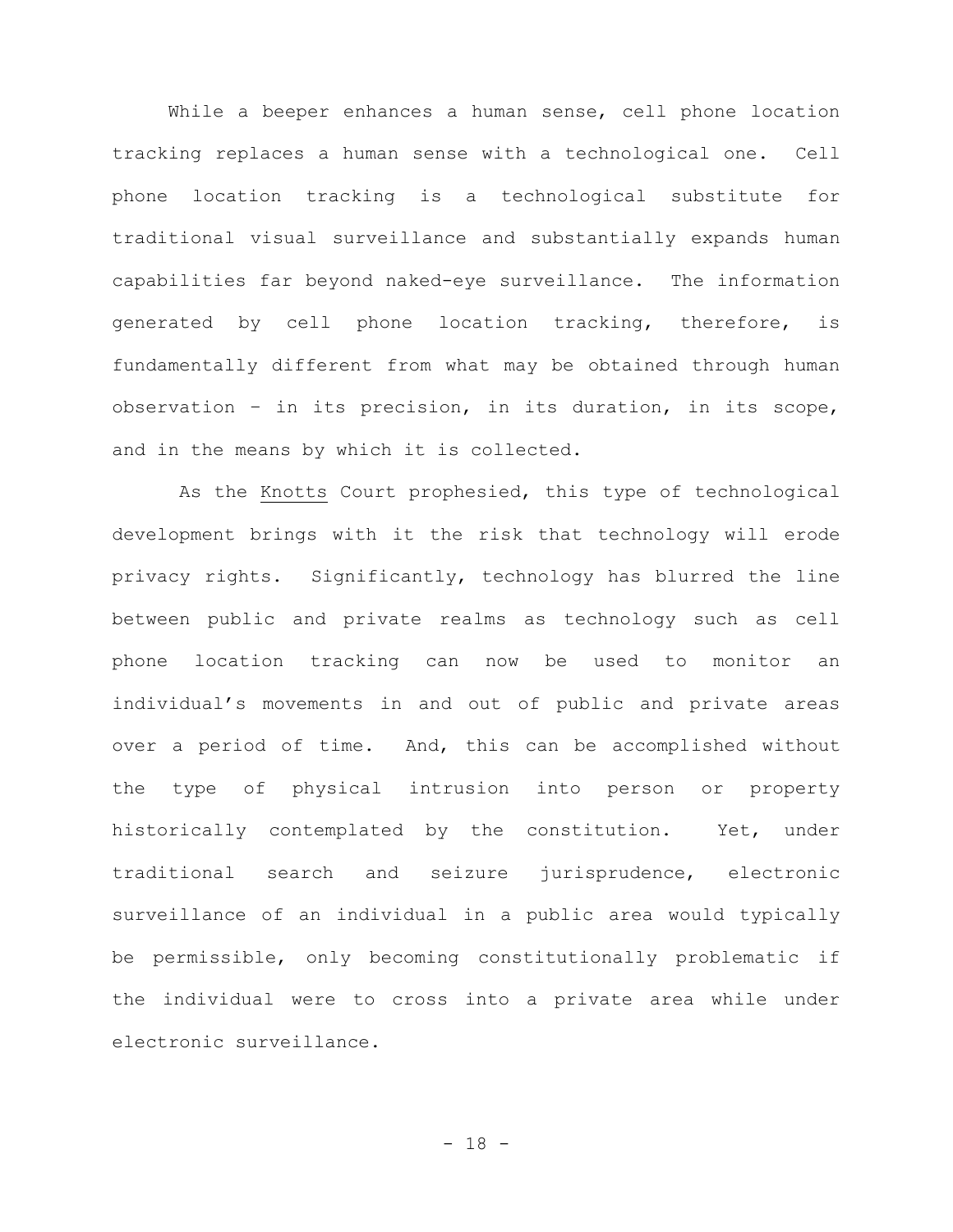While a beeper enhances a human sense, cell phone location tracking replaces a human sense with a technological one. Cell phone location tracking is a technological substitute for traditional visual surveillance and substantially expands human capabilities far beyond naked-eye surveillance. The information generated by cell phone location tracking, therefore, is fundamentally different from what may be obtained through human observation – in its precision, in its duration, in its scope, and in the means by which it is collected.

As the Knotts Court prophesied, this type of technological development brings with it the risk that technology will erode privacy rights. Significantly, technology has blurred the line between public and private realms as technology such as cell phone location tracking can now be used to monitor an individual's movements in and out of public and private areas over a period of time. And, this can be accomplished without the type of physical intrusion into person or property historically contemplated by the constitution. Yet, under traditional search and seizure jurisprudence, electronic surveillance of an individual in a public area would typically be permissible, only becoming constitutionally problematic if the individual were to cross into a private area while under electronic surveillance.

- 18 -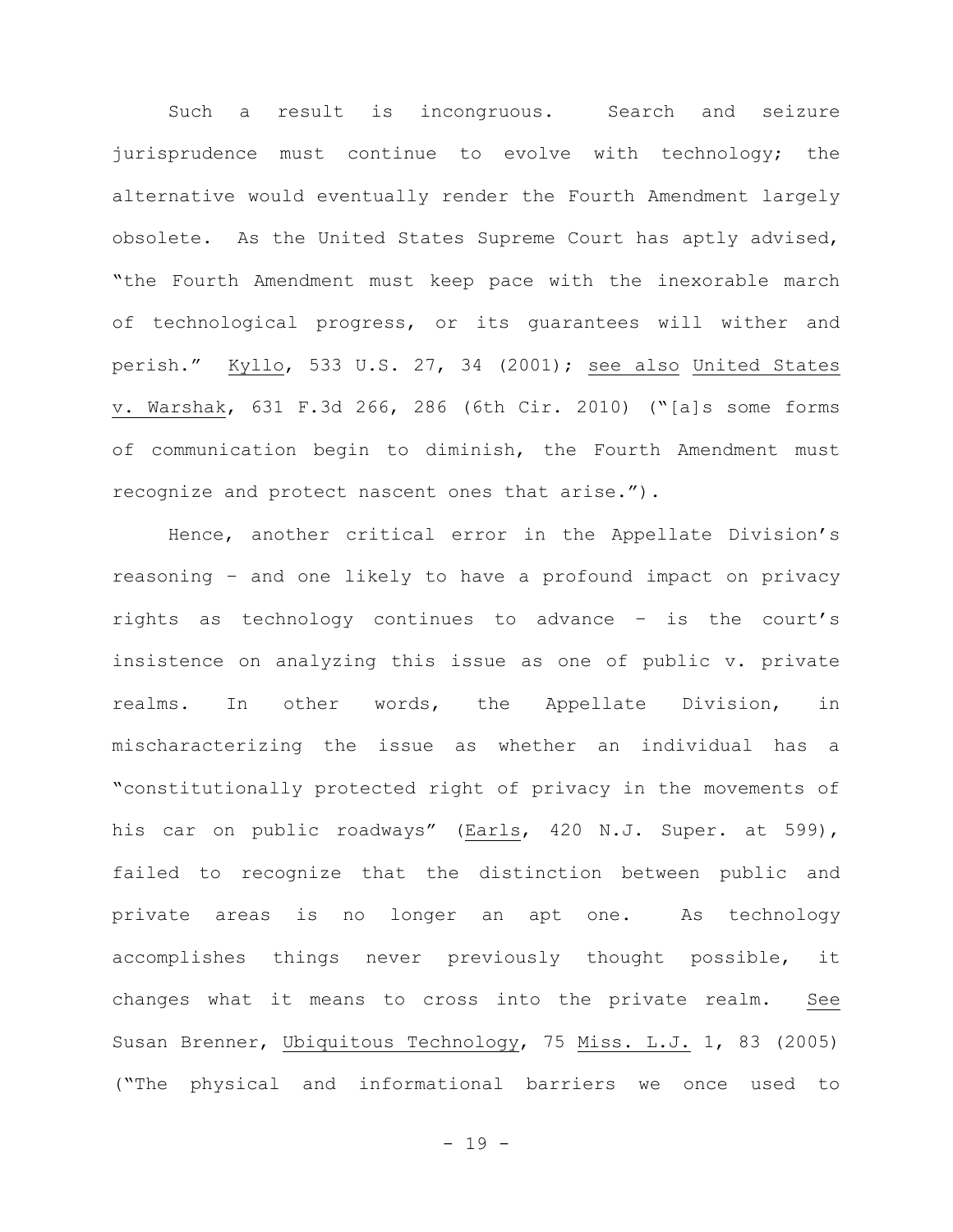Such a result is incongruous. Search and seizure jurisprudence must continue to evolve with technology; the alternative would eventually render the Fourth Amendment largely obsolete. As the United States Supreme Court has aptly advised, "the Fourth Amendment must keep pace with the inexorable march of technological progress, or its guarantees will wither and perish." Kyllo, 533 U.S. 27, 34 (2001); see also United States v. Warshak, 631 F.3d 266, 286 (6th Cir. 2010) ("[a]s some forms of communication begin to diminish, the Fourth Amendment must recognize and protect nascent ones that arise.").

Hence, another critical error in the Appellate Division's reasoning – and one likely to have a profound impact on privacy rights as technology continues to advance – is the court's insistence on analyzing this issue as one of public v. private realms. In other words, the Appellate Division, in mischaracterizing the issue as whether an individual has a "constitutionally protected right of privacy in the movements of his car on public roadways" (Earls, 420 N.J. Super. at 599), failed to recognize that the distinction between public and private areas is no longer an apt one. As technology accomplishes things never previously thought possible, it changes what it means to cross into the private realm. See Susan Brenner, Ubiquitous Technology, 75 Miss. L.J. 1, 83 (2005) ("The physical and informational barriers we once used to

- 19 -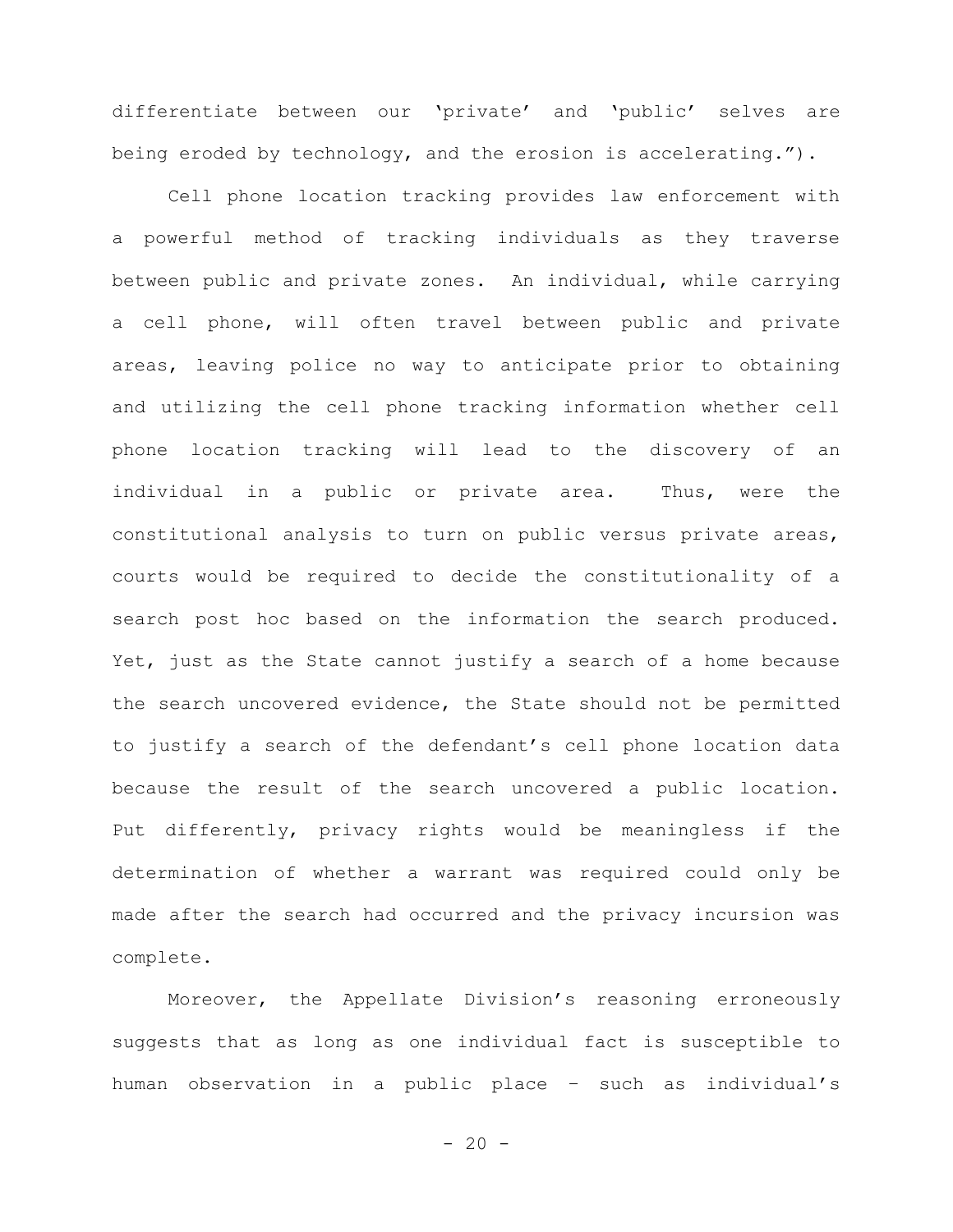differentiate between our 'private' and 'public' selves are being eroded by technology, and the erosion is accelerating.").

Cell phone location tracking provides law enforcement with a powerful method of tracking individuals as they traverse between public and private zones. An individual, while carrying a cell phone, will often travel between public and private areas, leaving police no way to anticipate prior to obtaining and utilizing the cell phone tracking information whether cell phone location tracking will lead to the discovery of an individual in a public or private area. Thus, were the constitutional analysis to turn on public versus private areas, courts would be required to decide the constitutionality of a search post hoc based on the information the search produced. Yet, just as the State cannot justify a search of a home because the search uncovered evidence, the State should not be permitted to justify a search of the defendant's cell phone location data because the result of the search uncovered a public location. Put differently, privacy rights would be meaningless if the determination of whether a warrant was required could only be made after the search had occurred and the privacy incursion was complete.

Moreover, the Appellate Division's reasoning erroneously suggests that as long as one individual fact is susceptible to human observation in a public place – such as individual's

 $- 20 -$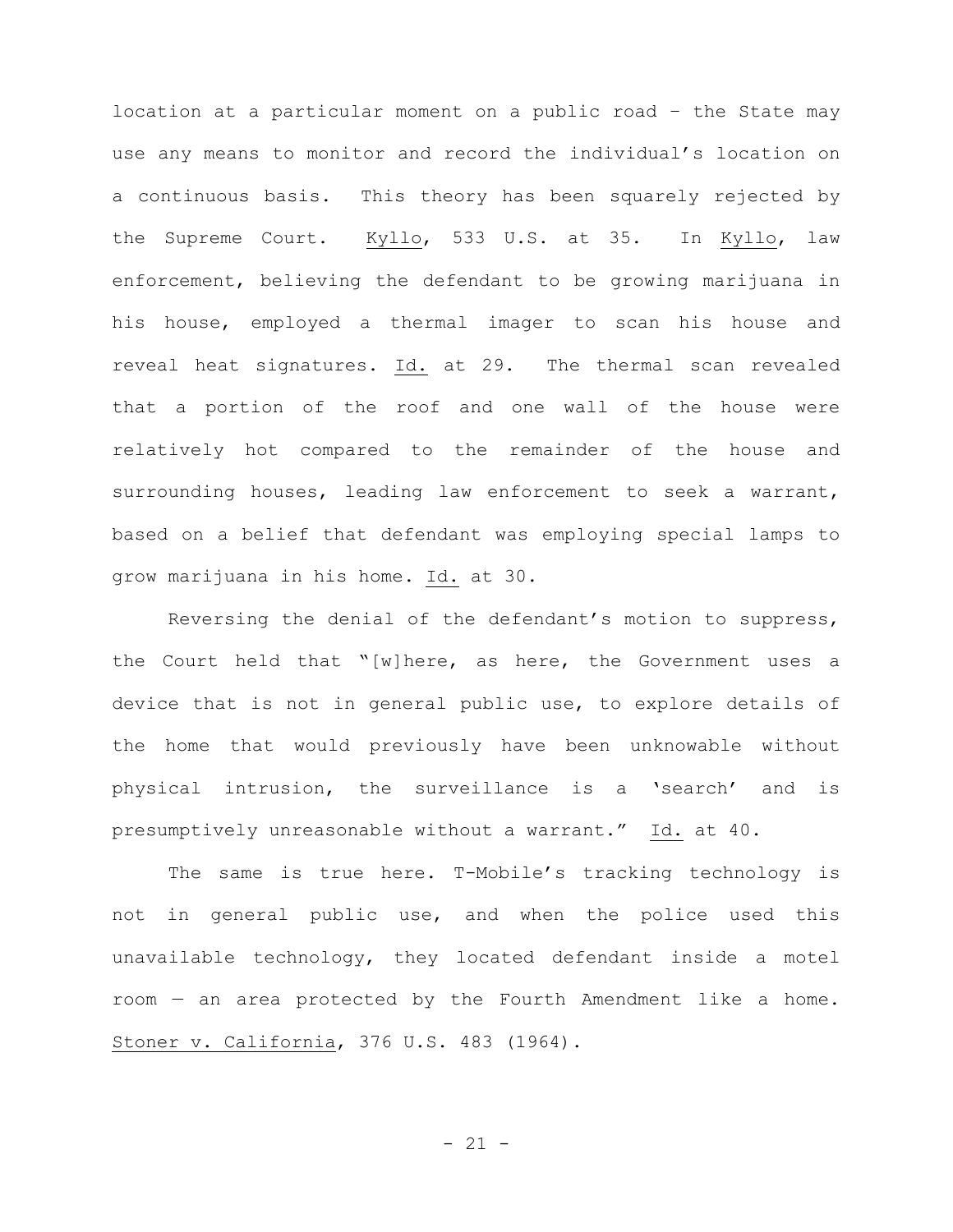location at a particular moment on a public road – the State may use any means to monitor and record the individual's location on a continuous basis. This theory has been squarely rejected by the Supreme Court. Kyllo, 533 U.S. at 35. In Kyllo, law enforcement, believing the defendant to be growing marijuana in his house, employed a thermal imager to scan his house and reveal heat signatures. Id. at 29. The thermal scan revealed that a portion of the roof and one wall of the house were relatively hot compared to the remainder of the house and surrounding houses, leading law enforcement to seek a warrant, based on a belief that defendant was employing special lamps to grow marijuana in his home. Id. at 30.

Reversing the denial of the defendant's motion to suppress, the Court held that "[w]here, as here, the Government uses a device that is not in general public use, to explore details of the home that would previously have been unknowable without physical intrusion, the surveillance is a 'search' and is presumptively unreasonable without a warrant." Id. at 40.

The same is true here. T-Mobile's tracking technology is not in general public use, and when the police used this unavailable technology, they located defendant inside a motel room — an area protected by the Fourth Amendment like a home. Stoner v. California, 376 U.S. 483 (1964).

- 21 -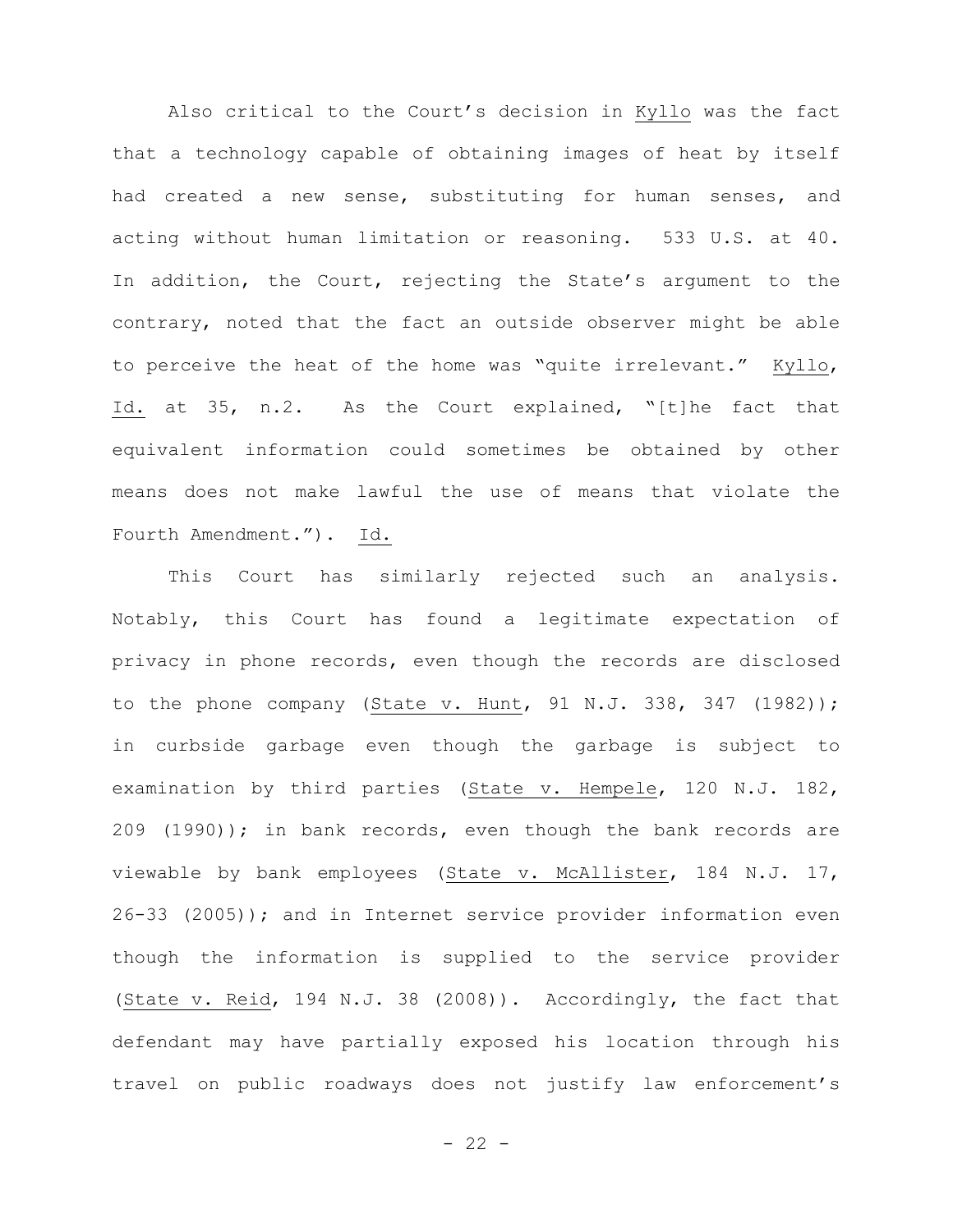Also critical to the Court's decision in Kyllo was the fact that a technology capable of obtaining images of heat by itself had created a new sense, substituting for human senses, and acting without human limitation or reasoning. 533 U.S. at 40. In addition, the Court, rejecting the State's argument to the contrary, noted that the fact an outside observer might be able to perceive the heat of the home was "quite irrelevant." Kyllo, Id. at 35, n.2. As the Court explained, "[t]he fact that equivalent information could sometimes be obtained by other means does not make lawful the use of means that violate the Fourth Amendment."). Id.

This Court has similarly rejected such an analysis. Notably, this Court has found a legitimate expectation of privacy in phone records, even though the records are disclosed to the phone company (State v. Hunt, 91 N.J. 338, 347 (1982)); in curbside garbage even though the garbage is subject to examination by third parties (State v. Hempele, 120 N.J. 182, 209 (1990)); in bank records, even though the bank records are viewable by bank employees (State v. McAllister, 184 N.J. 17, 26-33 (2005)); and in Internet service provider information even though the information is supplied to the service provider (State v. Reid, 194 N.J. 38 (2008)). Accordingly, the fact that defendant may have partially exposed his location through his travel on public roadways does not justify law enforcement's

- 22 -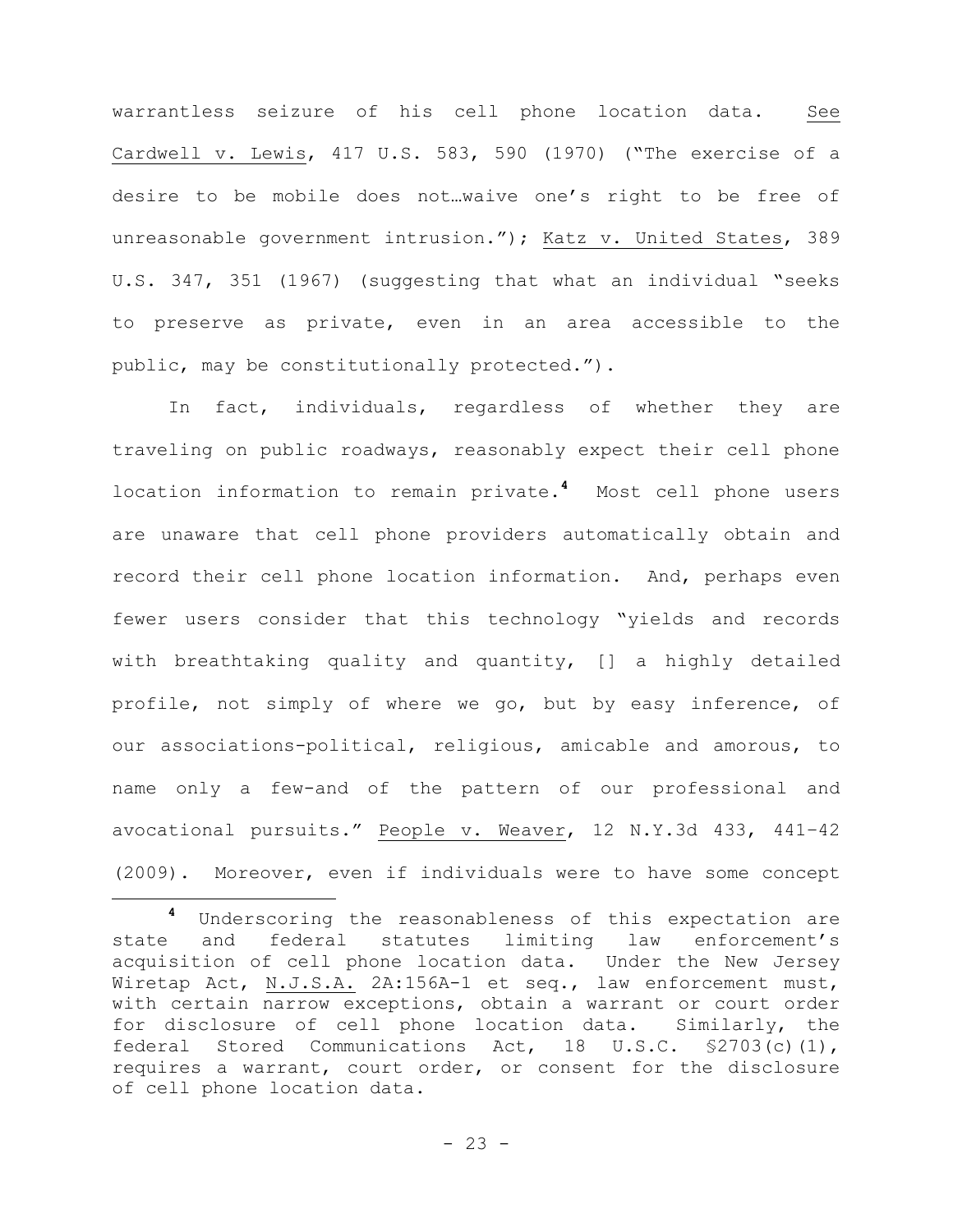warrantless seizure of his cell phone location data. See Cardwell v. Lewis, 417 U.S. 583, 590 (1970) ("The exercise of a desire to be mobile does not…waive one's right to be free of unreasonable government intrusion."); Katz v. United States, 389 U.S. 347, 351 (1967) (suggesting that what an individual "seeks to preserve as private, even in an area accessible to the public, may be constitutionally protected.").

In fact, individuals, regardless of whether they are traveling on public roadways, reasonably expect their cell phone location information to remain private.**<sup>4</sup>** Most cell phone users are unaware that cell phone providers automatically obtain and record their cell phone location information. And, perhaps even fewer users consider that this technology "yields and records with breathtaking quality and quantity, [] a highly detailed profile, not simply of where we go, but by easy inference, of our associations-political, religious, amicable and amorous, to name only a few-and of the pattern of our professional and avocational pursuits." People v. Weaver, 12 N.Y.3d 433, 441–42 (2009). Moreover, even if individuals were to have some concept

÷.

**<sup>4</sup>** Underscoring the reasonableness of this expectation are state and federal statutes limiting law enforcement's acquisition of cell phone location data. Under the New Jersey Wiretap Act, N.J.S.A. 2A:156A-1 et seq., law enforcement must, with certain narrow exceptions, obtain a warrant or court order for disclosure of cell phone location data. Similarly, the federal Stored Communications Act, 18 U.S.C. §2703(c)(1), requires a warrant, court order, or consent for the disclosure of cell phone location data.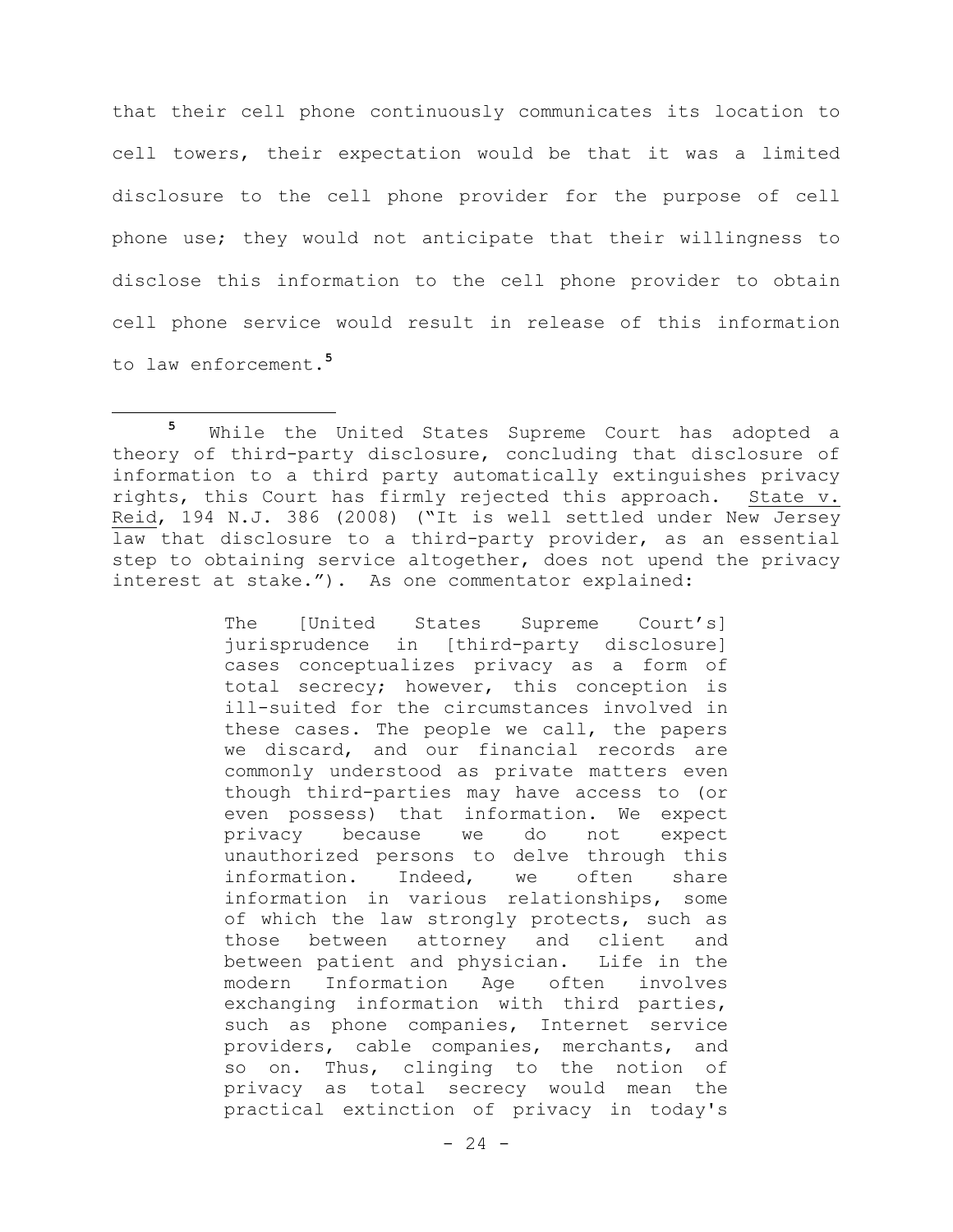that their cell phone continuously communicates its location to cell towers, their expectation would be that it was a limited disclosure to the cell phone provider for the purpose of cell phone use; they would not anticipate that their willingness to disclose this information to the cell phone provider to obtain cell phone service would result in release of this information to law enforcement. **5**

÷.

The [United States Supreme Court's] jurisprudence in [third-party disclosure] cases conceptualizes privacy as a form of total secrecy; however, this conception is ill-suited for the circumstances involved in these cases. The people we call, the papers we discard, and our financial records are commonly understood as private matters even though third-parties may have access to (or even possess) that information. We expect privacy because we do not expect unauthorized persons to delve through this information. Indeed, we often share information in various relationships, some of which the law strongly protects, such as those between attorney and client and between patient and physician. Life in the modern Information Age often involves exchanging information with third parties, such as phone companies, Internet service providers, cable companies, merchants, and so on. Thus, clinging to the notion of privacy as total secrecy would mean the practical extinction of privacy in today's

**<sup>5</sup>** While the United States Supreme Court has adopted a theory of third-party disclosure, concluding that disclosure of information to a third party automatically extinguishes privacy rights, this Court has firmly rejected this approach. State v. Reid, 194 N.J. 386 (2008) ("It is well settled under New Jersey law that disclosure to a third-party provider, as an essential step to obtaining service altogether, does not upend the privacy interest at stake."). As one commentator explained: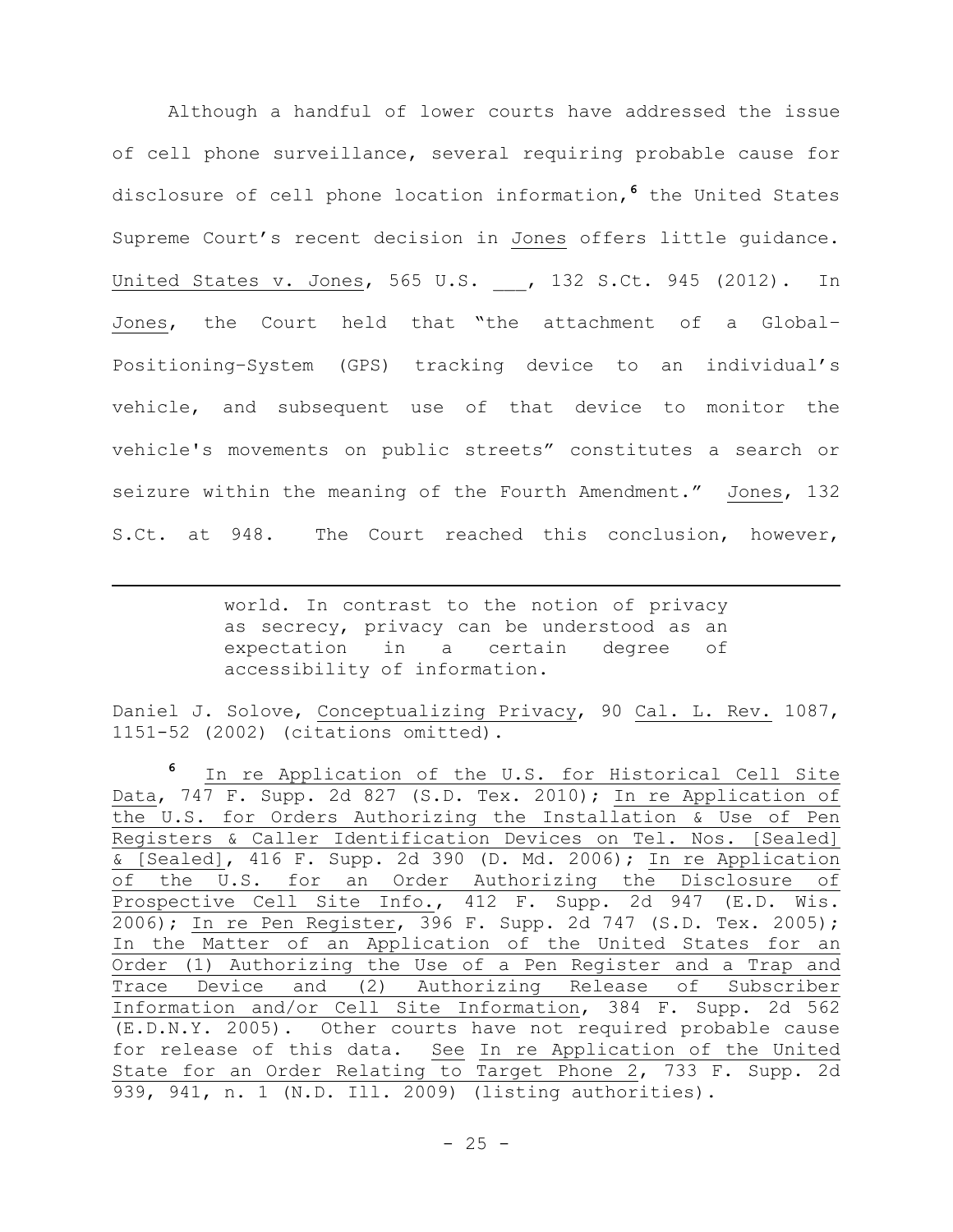Although a handful of lower courts have addressed the issue of cell phone surveillance, several requiring probable cause for disclosure of cell phone location information, **<sup>6</sup>** the United States Supreme Court's recent decision in Jones offers little guidance. United States v. Jones, 565 U.S. \_\_, 132 S.Ct. 945 (2012). In Jones, the Court held that "the attachment of a Global– Positioning–System (GPS) tracking device to an individual's vehicle, and subsequent use of that device to monitor the vehicle's movements on public streets" constitutes a search or seizure within the meaning of the Fourth Amendment." Jones, 132 S.Ct. at 948. The Court reached this conclusion, however,

> world. In contrast to the notion of privacy as secrecy, privacy can be understood as an expectation in a certain degree of accessibility of information.

÷.

Daniel J. Solove, Conceptualizing Privacy, 90 Cal. L. Rev. 1087, 1151-52 (2002) (citations omitted).

**<sup>6</sup>** In re Application of the U.S. for Historical Cell Site Data, 747 F. Supp. 2d 827 (S.D. Tex. 2010); In re Application of the U.S. for Orders Authorizing the Installation & Use of Pen Registers & Caller Identification Devices on Tel. Nos. [Sealed] & [Sealed], 416 F. Supp. 2d 390 (D. Md. 2006); In re Application of the U.S. for an Order Authorizing the Disclosure of Prospective Cell Site Info., 412 F. Supp. 2d 947 (E.D. Wis. 2006); In re Pen Register, 396 F. Supp. 2d 747 (S.D. Tex. 2005); In the Matter of an Application of the United States for an Order (1) Authorizing the Use of a Pen Register and a Trap and Trace Device and (2) Authorizing Release of Subscriber Information and/or Cell Site Information, 384 F. Supp. 2d 562 (E.D.N.Y. 2005). Other courts have not required probable cause for release of this data. See In re Application of the United State for an Order Relating to Target Phone 2, 733 F. Supp. 2d 939, 941, n. 1 (N.D. Ill. 2009) (listing authorities).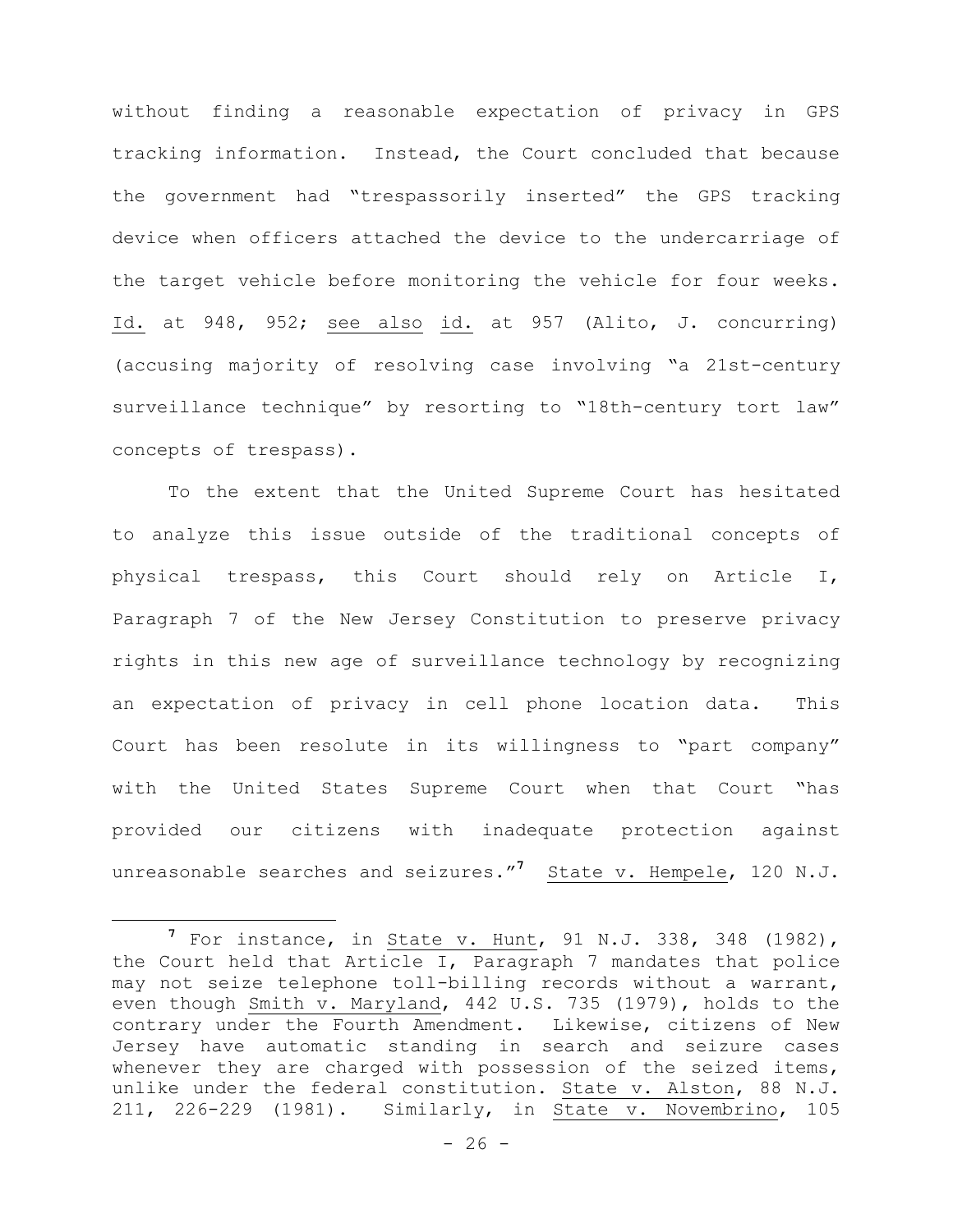without finding a reasonable expectation of privacy in GPS tracking information. Instead, the Court concluded that because the government had "trespassorily inserted" the GPS tracking device when officers attached the device to the undercarriage of the target vehicle before monitoring the vehicle for four weeks. Id. at 948, 952; see also id. at 957 (Alito, J. concurring) (accusing majority of resolving case involving "a 21st-century surveillance technique" by resorting to "18th-century tort law" concepts of trespass).

To the extent that the United Supreme Court has hesitated to analyze this issue outside of the traditional concepts of physical trespass, this Court should rely on Article I, Paragraph 7 of the New Jersey Constitution to preserve privacy rights in this new age of surveillance technology by recognizing an expectation of privacy in cell phone location data. This Court has been resolute in its willingness to "part company" with the United States Supreme Court when that Court "has provided our citizens with inadequate protection against unreasonable searches and seizures."<sup>7</sup> State v. Hempele, 120 N.J.

i<br>L

**<sup>7</sup>** For instance, in State v. Hunt, 91 N.J. 338, 348 (1982), the Court held that Article I, Paragraph 7 mandates that police may not seize telephone toll-billing records without a warrant, even though Smith v. Maryland, 442 U.S. 735 (1979), holds to the contrary under the Fourth Amendment. Likewise, citizens of New Jersey have automatic standing in search and seizure cases whenever they are charged with possession of the seized items, unlike under the federal constitution. State v. Alston, 88 N.J. 211, 226-229 (1981). Similarly, in State v. Novembrino, 105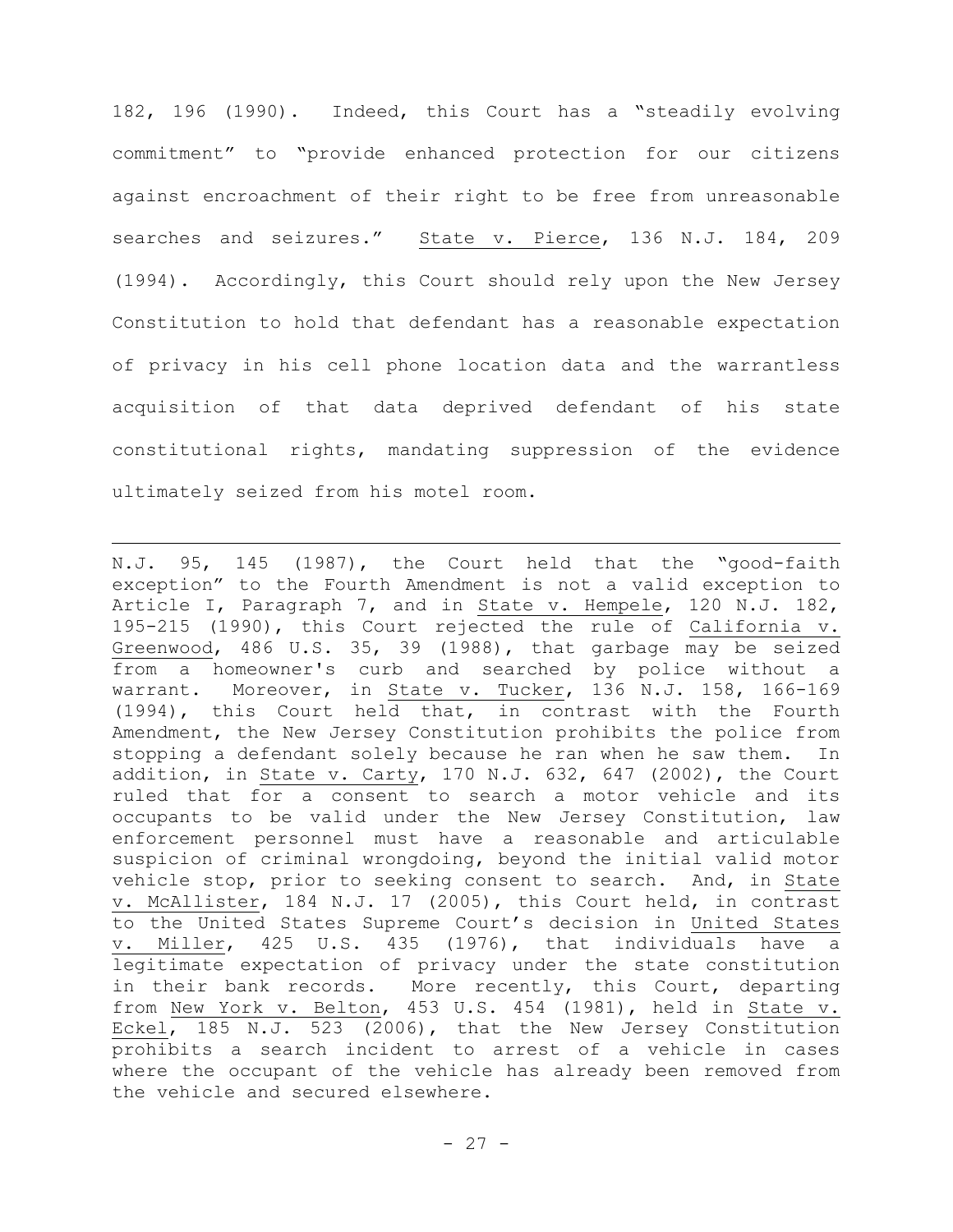182, 196 (1990). Indeed, this Court has a "steadily evolving commitment" to "provide enhanced protection for our citizens against encroachment of their right to be free from unreasonable searches and seizures." State v. Pierce, 136 N.J. 184, 209 (1994). Accordingly, this Court should rely upon the New Jersey Constitution to hold that defendant has a reasonable expectation of privacy in his cell phone location data and the warrantless acquisition of that data deprived defendant of his state constitutional rights, mandating suppression of the evidence ultimately seized from his motel room.

i<br>L

N.J. 95, 145 (1987), the Court held that the "good-faith exception" to the Fourth Amendment is not a valid exception to Article I, Paragraph 7, and in State v. Hempele, 120 N.J. 182, 195-215 (1990), this Court rejected the rule of California v. Greenwood, 486 U.S. 35, 39 (1988), that garbage may be seized from a homeowner's curb and searched by police without a warrant. Moreover, in State v. Tucker, 136 N.J. 158, 166-169 (1994), this Court held that, in contrast with the Fourth Amendment, the New Jersey Constitution prohibits the police from stopping a defendant solely because he ran when he saw them. In addition, in State v. Carty, 170 N.J. 632, 647 (2002), the Court ruled that for a consent to search a motor vehicle and its occupants to be valid under the New Jersey Constitution, law enforcement personnel must have a reasonable and articulable suspicion of criminal wrongdoing, beyond the initial valid motor vehicle stop, prior to seeking consent to search. And, in State v. McAllister, 184 N.J. 17 (2005), this Court held, in contrast to the United States Supreme Court's decision in United States v. Miller, 425 U.S. 435 (1976), that individuals have a legitimate expectation of privacy under the state constitution in their bank records. More recently, this Court, departing from New York v. Belton, 453 U.S. 454 (1981), held in State v. Eckel, 185 N.J. 523 (2006), that the New Jersey Constitution prohibits a search incident to arrest of a vehicle in cases where the occupant of the vehicle has already been removed from the vehicle and secured elsewhere.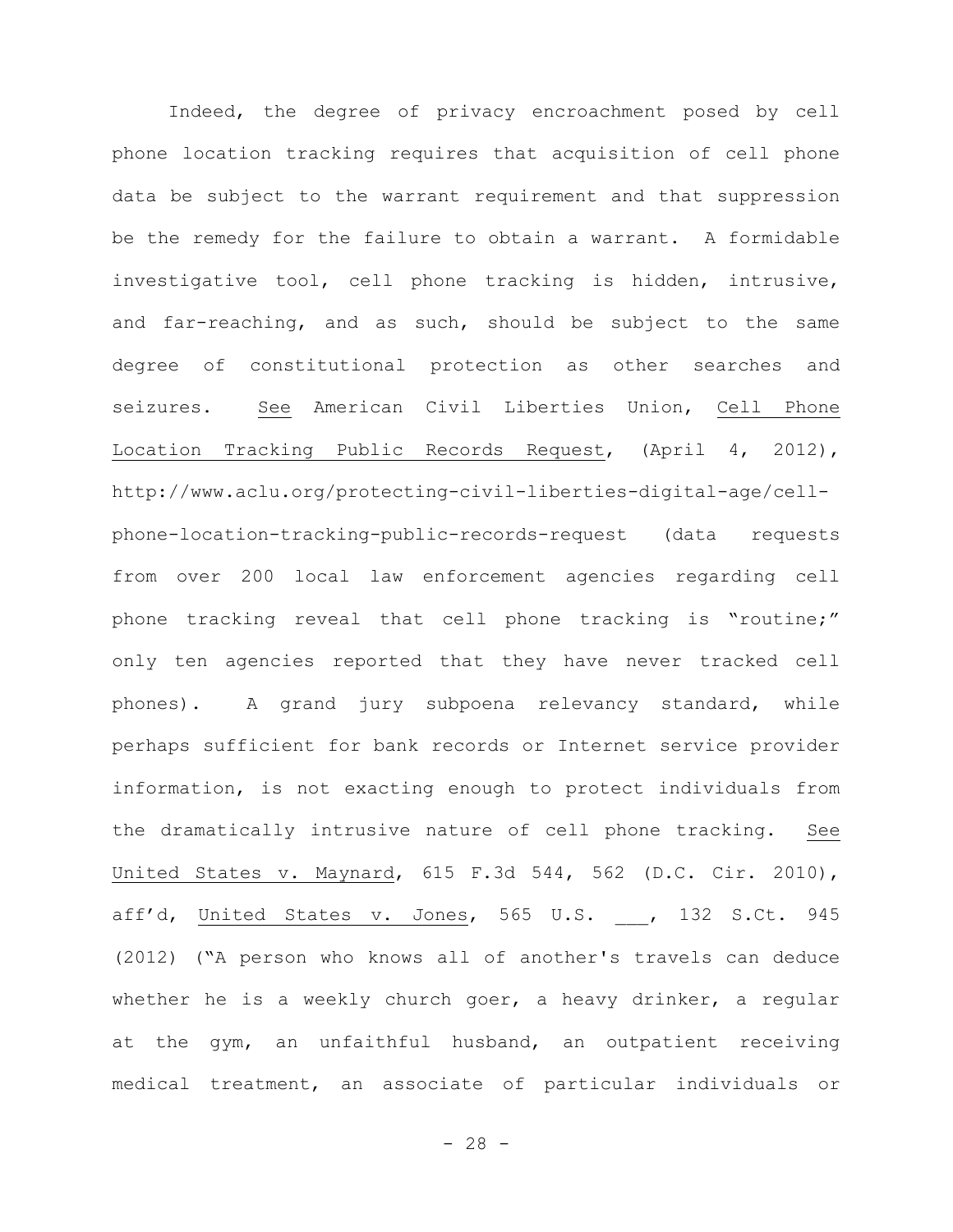Indeed, the degree of privacy encroachment posed by cell phone location tracking requires that acquisition of cell phone data be subject to the warrant requirement and that suppression be the remedy for the failure to obtain a warrant. A formidable investigative tool, cell phone tracking is hidden, intrusive, and far-reaching, and as such, should be subject to the same degree of constitutional protection as other searches and seizures. See American Civil Liberties Union, Cell Phone Location Tracking Public Records Request, (April 4, 2012), http://www.aclu.org/protecting-civil-liberties-digital-age/cellphone-location-tracking-public-records-request (data requests from over 200 local law enforcement agencies regarding cell phone tracking reveal that cell phone tracking is "routine;" only ten agencies reported that they have never tracked cell phones). A grand jury subpoena relevancy standard, while perhaps sufficient for bank records or Internet service provider information, is not exacting enough to protect individuals from the dramatically intrusive nature of cell phone tracking. See United States v. Maynard, 615 F.3d 544, 562 (D.C. Cir. 2010), aff'd, United States v. Jones, 565 U.S. , 132 S.Ct. 945 (2012) ("A person who knows all of another's travels can deduce whether he is a weekly church goer, a heavy drinker, a regular at the gym, an unfaithful husband, an outpatient receiving medical treatment, an associate of particular individuals or

- 28 -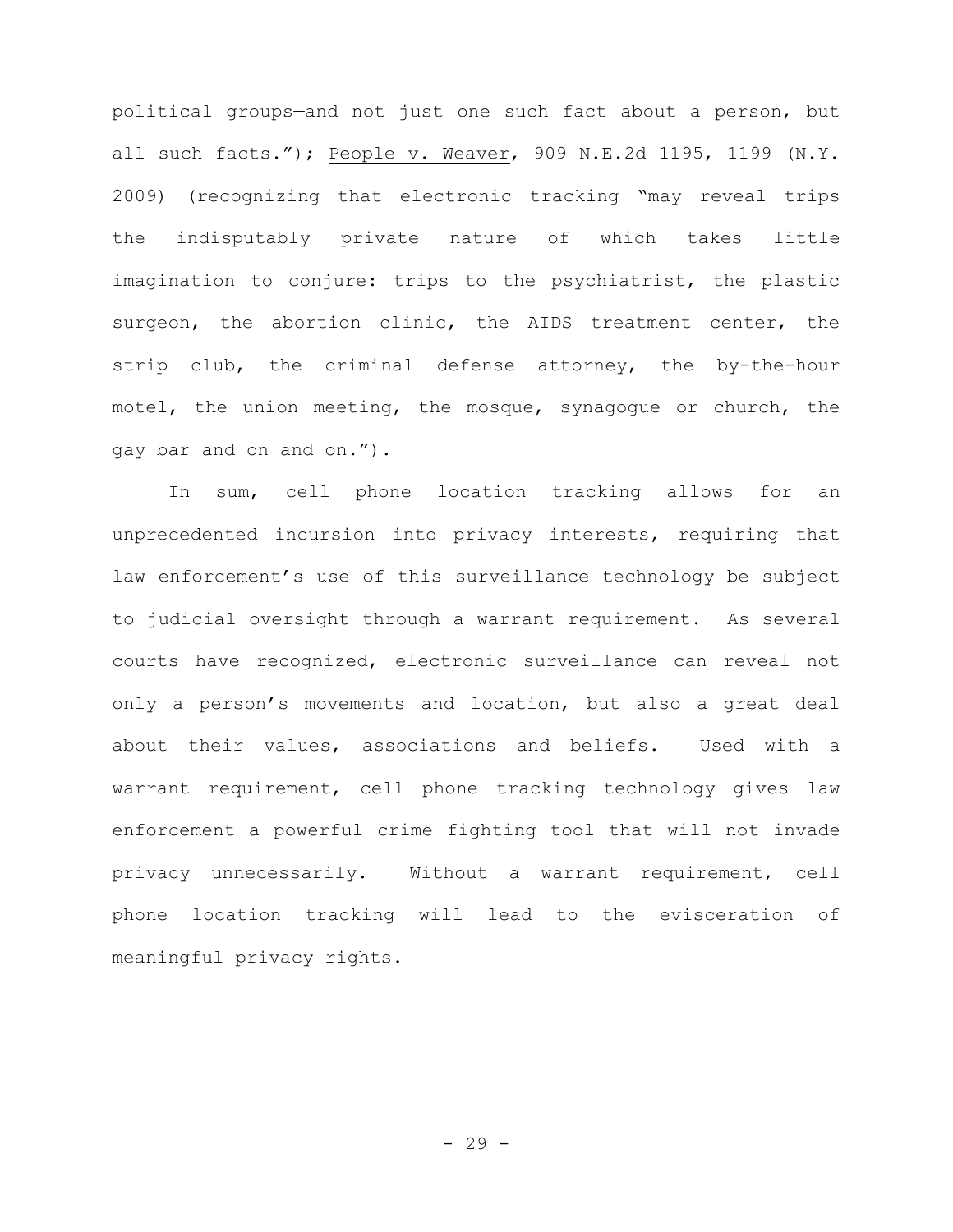political groups—and not just one such fact about a person, but all such facts."); People v. Weaver, 909 N.E.2d 1195, 1199 (N.Y. 2009) (recognizing that electronic tracking "may reveal trips the indisputably private nature of which takes little imagination to conjure: trips to the psychiatrist, the plastic surgeon, the abortion clinic, the AIDS treatment center, the strip club, the criminal defense attorney, the by-the-hour motel, the union meeting, the mosque, synagogue or church, the gay bar and on and on.").

In sum, cell phone location tracking allows for an unprecedented incursion into privacy interests, requiring that law enforcement's use of this surveillance technology be subject to judicial oversight through a warrant requirement. As several courts have recognized, electronic surveillance can reveal not only a person's movements and location, but also a great deal about their values, associations and beliefs. Used with a warrant requirement, cell phone tracking technology gives law enforcement a powerful crime fighting tool that will not invade privacy unnecessarily. Without a warrant requirement, cell phone location tracking will lead to the evisceration of meaningful privacy rights.

- 29 -